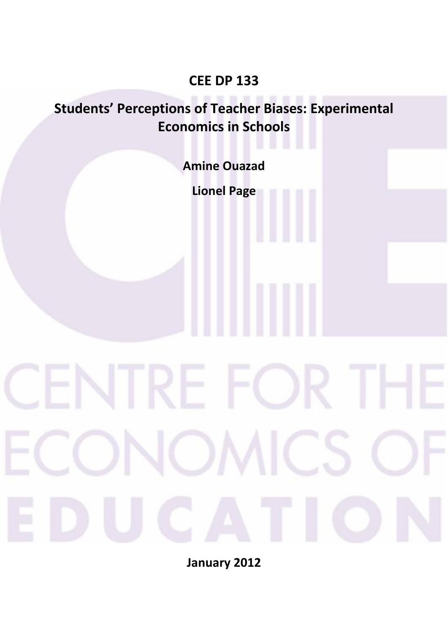# **CEE DP 133**

# **Students' Perceptions of Teacher Biases: Experimental Economics in Schools**

**Amine Ouazad** 

**Lionel Page** 

**January 2012**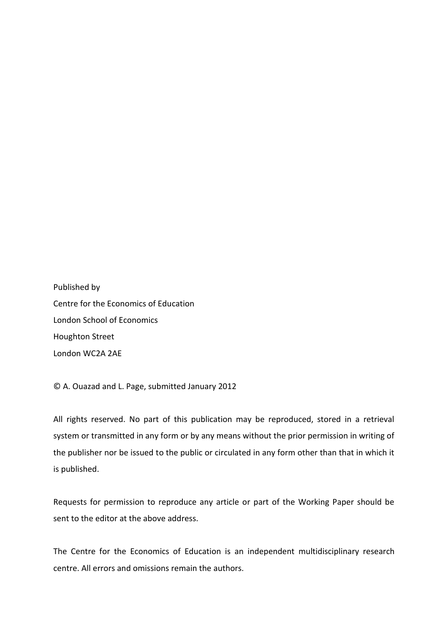Published by Centre for the Economics of Education London School of Economics Houghton Street London WC2A 2AE

© A. Ouazad and L. Page, submitted January 2012

All rights reserved. No part of this publication may be reproduced, stored in a retrieval system or transmitted in any form or by any means without the prior permission in writing of the publisher nor be issued to the public or circulated in any form other than that in which it is published.

Requests for permission to reproduce any article or part of the Working Paper should be sent to the editor at the above address.

The Centre for the Economics of Education is an independent multidisciplinary research centre. All errors and omissions remain the authors.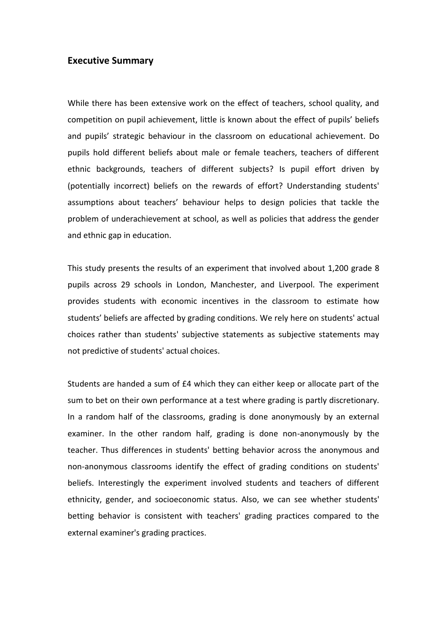### **Executive Summary**

While there has been extensive work on the effect of teachers, school quality, and competition on pupil achievement, little is known about the effect of pupils' beliefs and pupils' strategic behaviour in the classroom on educational achievement. Do pupils hold different beliefs about male or female teachers, teachers of different ethnic backgrounds, teachers of different subjects? Is pupil effort driven by (potentially incorrect) beliefs on the rewards of effort? Understanding students' assumptions about teachers' behaviour helps to design policies that tackle the problem of underachievement at school, as well as policies that address the gender and ethnic gap in education.

This study presents the results of an experiment that involved about 1,200 grade 8 pupils across 29 schools in London, Manchester, and Liverpool. The experiment provides students with economic incentives in the classroom to estimate how students' beliefs are affected by grading conditions. We rely here on students' actual choices rather than students' subjective statements as subjective statements may not predictive of students' actual choices.

Students are handed a sum of £4 which they can either keep or allocate part of the sum to bet on their own performance at a test where grading is partly discretionary. In a random half of the classrooms, grading is done anonymously by an external examiner. In the other random half, grading is done non-anonymously by the teacher. Thus differences in students' betting behavior across the anonymous and non-anonymous classrooms identify the effect of grading conditions on students' beliefs. Interestingly the experiment involved students and teachers of different ethnicity, gender, and socioeconomic status. Also, we can see whether students' betting behavior is consistent with teachers' grading practices compared to the external examiner's grading practices.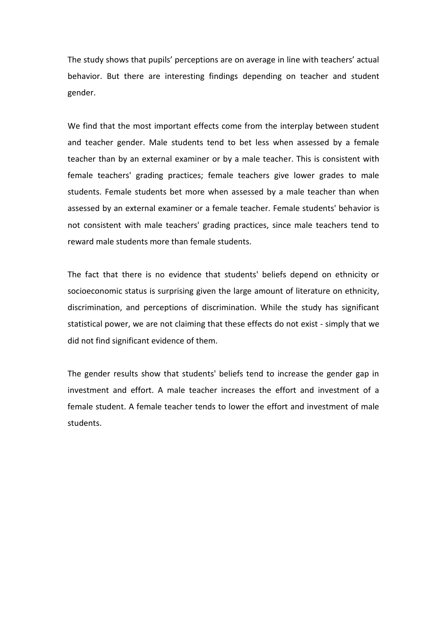The study shows that pupils' perceptions are on average in line with teachers' actual behavior. But there are interesting findings depending on teacher and student gender.

We find that the most important effects come from the interplay between student and teacher gender. Male students tend to bet less when assessed by a female teacher than by an external examiner or by a male teacher. This is consistent with female teachers' grading practices; female teachers give lower grades to male students. Female students bet more when assessed by a male teacher than when assessed by an external examiner or a female teacher. Female students' behavior is not consistent with male teachers' grading practices, since male teachers tend to reward male students more than female students.

The fact that there is no evidence that students' beliefs depend on ethnicity or socioeconomic status is surprising given the large amount of literature on ethnicity, discrimination, and perceptions of discrimination. While the study has significant statistical power, we are not claiming that these effects do not exist - simply that we did not find significant evidence of them.

The gender results show that students' beliefs tend to increase the gender gap in investment and effort. A male teacher increases the effort and investment of a female student. A female teacher tends to lower the effort and investment of male students.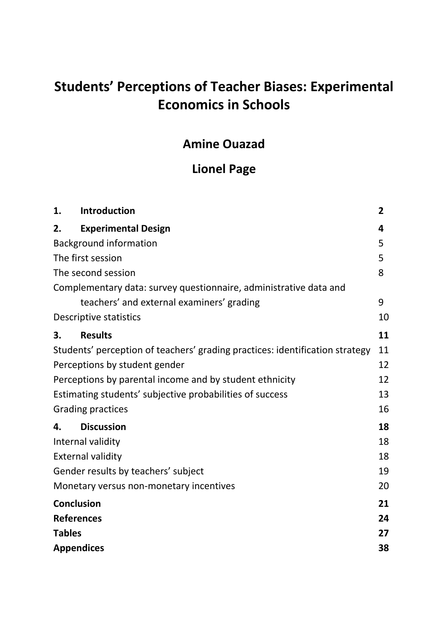# **Students' Perceptions of Teacher Biases: Experimental Economics in Schools**

# **Amine Ouazad**

# **Lionel Page**

| 1.            | Introduction                                                                 | $\overline{2}$ |
|---------------|------------------------------------------------------------------------------|----------------|
| 2.            | <b>Experimental Design</b>                                                   | 4              |
|               | <b>Background information</b>                                                | 5              |
|               | The first session                                                            | 5              |
|               | The second session                                                           | 8              |
|               | Complementary data: survey questionnaire, administrative data and            |                |
|               | teachers' and external examiners' grading                                    | 9              |
|               | Descriptive statistics                                                       | 10             |
| 3.            | <b>Results</b>                                                               | 11             |
|               | Students' perception of teachers' grading practices: identification strategy | 11             |
|               | Perceptions by student gender                                                | 12             |
|               | Perceptions by parental income and by student ethnicity                      | 12             |
|               | Estimating students' subjective probabilities of success                     | 13             |
|               | <b>Grading practices</b>                                                     | 16             |
| 4.            | <b>Discussion</b>                                                            | 18             |
|               | Internal validity                                                            | 18             |
|               | <b>External validity</b>                                                     | 18             |
|               | Gender results by teachers' subject                                          | 19             |
|               | Monetary versus non-monetary incentives                                      | 20             |
|               | <b>Conclusion</b>                                                            | 21             |
|               | <b>References</b>                                                            | 24             |
| <b>Tables</b> |                                                                              | 27             |
|               | <b>Appendices</b>                                                            | 38             |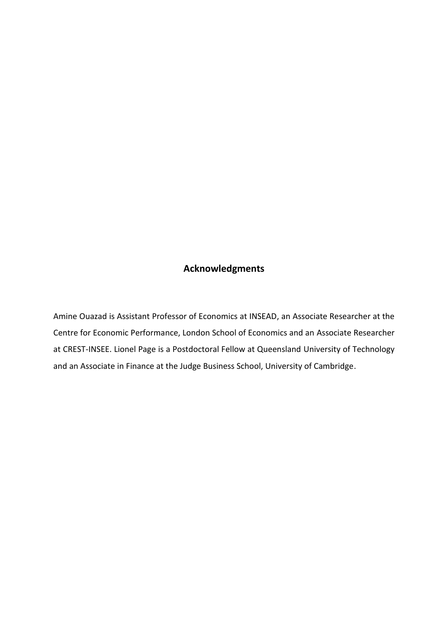# **Acknowledgments**

Amine Ouazad is Assistant Professor of Economics at INSEAD, an Associate Researcher at the Centre for Economic Performance, London School of Economics and an Associate Researcher at CREST-INSEE. Lionel Page is a Postdoctoral Fellow at Queensland University of Technology and an Associate in Finance at the Judge Business School, University of Cambridge.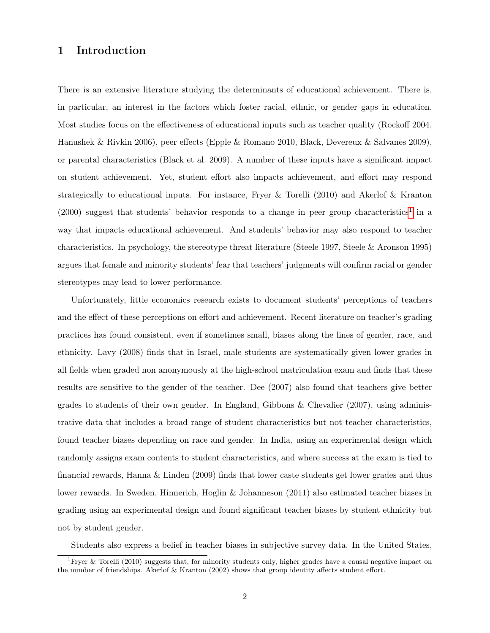# 1 Introduction

There is an extensive literature studying the determinants of educational achievement. There is, in particular, an interest in the factors which foster racial, ethnic, or gender gaps in education. Most studies focus on the effectiveness of educational inputs such as teacher quality (Rockoff 2004, Hanushek & Rivkin 2006), peer effects (Epple & Romano 2010, Black, Devereux & Salvanes 2009), or parental characteristics (Black et al. 2009). A number of these inputs have a significant impact on student achievement. Yet, student effort also impacts achievement, and effort may respond strategically to educational inputs. For instance, Fryer & Torelli (2010) and Akerlof & Kranton  $(2000)$  suggest that students' behavior responds to a change in peer group characteristics<sup>[1](#page-7-0)</sup> in a way that impacts educational achievement. And students' behavior may also respond to teacher characteristics. In psychology, the stereotype threat literature (Steele 1997, Steele & Aronson 1995) argues that female and minority students' fear that teachers' judgments will confirm racial or gender stereotypes may lead to lower performance.

Unfortunately, little economics research exists to document students' perceptions of teachers and the effect of these perceptions on effort and achievement. Recent literature on teacher's grading practices has found consistent, even if sometimes small, biases along the lines of gender, race, and ethnicity. Lavy (2008) finds that in Israel, male students are systematically given lower grades in all fields when graded non anonymously at the high-school matriculation exam and finds that these results are sensitive to the gender of the teacher. Dee (2007) also found that teachers give better grades to students of their own gender. In England, Gibbons & Chevalier (2007), using administrative data that includes a broad range of student characteristics but not teacher characteristics, found teacher biases depending on race and gender. In India, using an experimental design which randomly assigns exam contents to student characteristics, and where success at the exam is tied to financial rewards, Hanna & Linden (2009) finds that lower caste students get lower grades and thus lower rewards. In Sweden, Hinnerich, Hoglin & Johanneson (2011) also estimated teacher biases in grading using an experimental design and found significant teacher biases by student ethnicity but not by student gender.

<span id="page-7-0"></span>Students also express a belief in teacher biases in subjective survey data. In the United States,

<sup>&</sup>lt;sup>1</sup>Fryer & Torelli (2010) suggests that, for minority students only, higher grades have a causal negative impact on the number of friendships. Akerlof & Kranton (2002) shows that group identity affects student effort.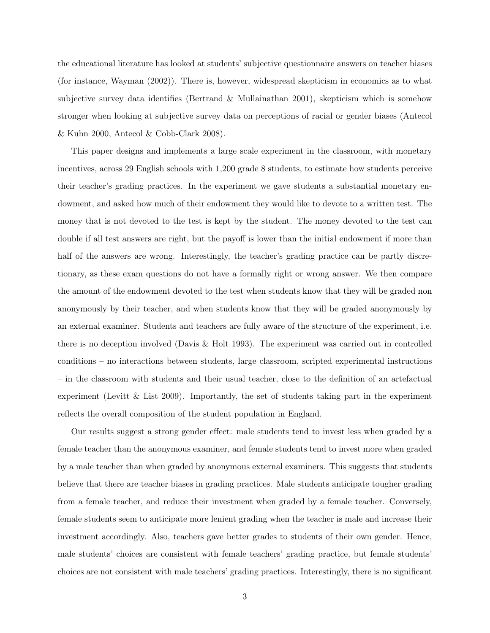the educational literature has looked at students' subjective questionnaire answers on teacher biases (for instance, Wayman (2002)). There is, however, widespread skepticism in economics as to what subjective survey data identifies (Bertrand & Mullainathan 2001), skepticism which is somehow stronger when looking at subjective survey data on perceptions of racial or gender biases (Antecol & Kuhn 2000, Antecol & Cobb-Clark 2008).

This paper designs and implements a large scale experiment in the classroom, with monetary incentives, across 29 English schools with 1,200 grade 8 students, to estimate how students perceive their teacher's grading practices. In the experiment we gave students a substantial monetary endowment, and asked how much of their endowment they would like to devote to a written test. The money that is not devoted to the test is kept by the student. The money devoted to the test can double if all test answers are right, but the payoff is lower than the initial endowment if more than half of the answers are wrong. Interestingly, the teacher's grading practice can be partly discretionary, as these exam questions do not have a formally right or wrong answer. We then compare the amount of the endowment devoted to the test when students know that they will be graded non anonymously by their teacher, and when students know that they will be graded anonymously by an external examiner. Students and teachers are fully aware of the structure of the experiment, i.e. there is no deception involved (Davis & Holt 1993). The experiment was carried out in controlled conditions – no interactions between students, large classroom, scripted experimental instructions – in the classroom with students and their usual teacher, close to the definition of an artefactual experiment (Levitt & List 2009). Importantly, the set of students taking part in the experiment reflects the overall composition of the student population in England.

Our results suggest a strong gender effect: male students tend to invest less when graded by a female teacher than the anonymous examiner, and female students tend to invest more when graded by a male teacher than when graded by anonymous external examiners. This suggests that students believe that there are teacher biases in grading practices. Male students anticipate tougher grading from a female teacher, and reduce their investment when graded by a female teacher. Conversely, female students seem to anticipate more lenient grading when the teacher is male and increase their investment accordingly. Also, teachers gave better grades to students of their own gender. Hence, male students' choices are consistent with female teachers' grading practice, but female students' choices are not consistent with male teachers' grading practices. Interestingly, there is no significant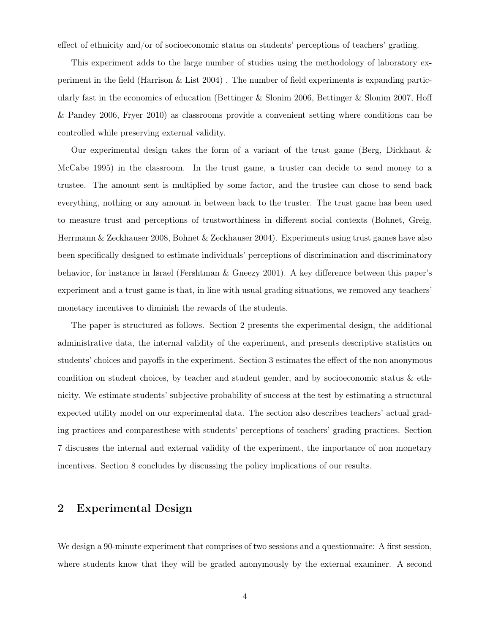effect of ethnicity and/or of socioeconomic status on students' perceptions of teachers' grading.

This experiment adds to the large number of studies using the methodology of laboratory experiment in the field (Harrison  $\&$  List 2004). The number of field experiments is expanding particularly fast in the economics of education (Bettinger & Slonim 2006, Bettinger & Slonim 2007, Hoff & Pandey 2006, Fryer 2010) as classrooms provide a convenient setting where conditions can be controlled while preserving external validity.

Our experimental design takes the form of a variant of the trust game (Berg, Dickhaut & McCabe 1995) in the classroom. In the trust game, a truster can decide to send money to a trustee. The amount sent is multiplied by some factor, and the trustee can chose to send back everything, nothing or any amount in between back to the truster. The trust game has been used to measure trust and perceptions of trustworthiness in different social contexts (Bohnet, Greig, Herrmann & Zeckhauser 2008, Bohnet & Zeckhauser 2004). Experiments using trust games have also been specifically designed to estimate individuals' perceptions of discrimination and discriminatory behavior, for instance in Israel (Fershtman & Gneezy 2001). A key difference between this paper's experiment and a trust game is that, in line with usual grading situations, we removed any teachers' monetary incentives to diminish the rewards of the students.

The paper is structured as follows. Section 2 presents the experimental design, the additional administrative data, the internal validity of the experiment, and presents descriptive statistics on students' choices and payoffs in the experiment. Section 3 estimates the effect of the non anonymous condition on student choices, by teacher and student gender, and by socioeconomic status & ethnicity. We estimate students' subjective probability of success at the test by estimating a structural expected utility model on our experimental data. The section also describes teachers' actual grading practices and comparesthese with students' perceptions of teachers' grading practices. Section 7 discusses the internal and external validity of the experiment, the importance of non monetary incentives. Section 8 concludes by discussing the policy implications of our results.

### 2 Experimental Design

We design a 90-minute experiment that comprises of two sessions and a questionnaire: A first session, where students know that they will be graded anonymously by the external examiner. A second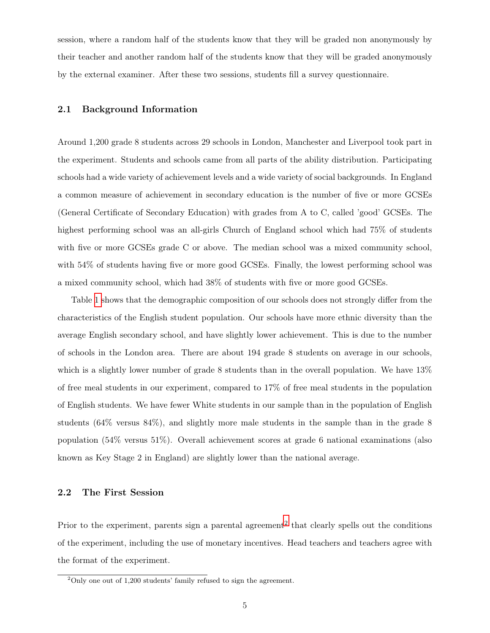session, where a random half of the students know that they will be graded non anonymously by their teacher and another random half of the students know that they will be graded anonymously by the external examiner. After these two sessions, students fill a survey questionnaire.

#### <span id="page-10-2"></span>2.1 Background Information

Around 1,200 grade 8 students across 29 schools in London, Manchester and Liverpool took part in the experiment. Students and schools came from all parts of the ability distribution. Participating schools had a wide variety of achievement levels and a wide variety of social backgrounds. In England a common measure of achievement in secondary education is the number of five or more GCSEs (General Certificate of Secondary Education) with grades from A to C, called 'good' GCSEs. The highest performing school was an all-girls Church of England school which had  $75\%$  of students with five or more GCSEs grade C or above. The median school was a mixed community school, with 54% of students having five or more good GCSEs. Finally, the lowest performing school was a mixed community school, which had 38% of students with five or more good GCSEs.

Table [1 s](#page-32-0)hows that the demographic composition of our schools does not strongly differ from the characteristics of the English student population. Our schools have more ethnic diversity than the average English secondary school, and have slightly lower achievement. This is due to the number of schools in the London area. There are about 194 grade 8 students on average in our schools, which is a slightly lower number of grade 8 students than in the overall population. We have 13% of free meal students in our experiment, compared to 17% of free meal students in the population of English students. We have fewer White students in our sample than in the population of English students (64% versus 84%), and slightly more male students in the sample than in the grade 8 population (54% versus 51%). Overall achievement scores at grade 6 national examinations (also known as Key Stage 2 in England) are slightly lower than the national average.

### <span id="page-10-1"></span>2.2 The First Session

Prior to the experiment, parents sign a parental agreement<sup>[2](#page-10-0)</sup> that clearly spells out the conditions of the experiment, including the use of monetary incentives. Head teachers and teachers agree with the format of the experiment.

<span id="page-10-0"></span> $2$ Only one out of 1,200 students' family refused to sign the agreement.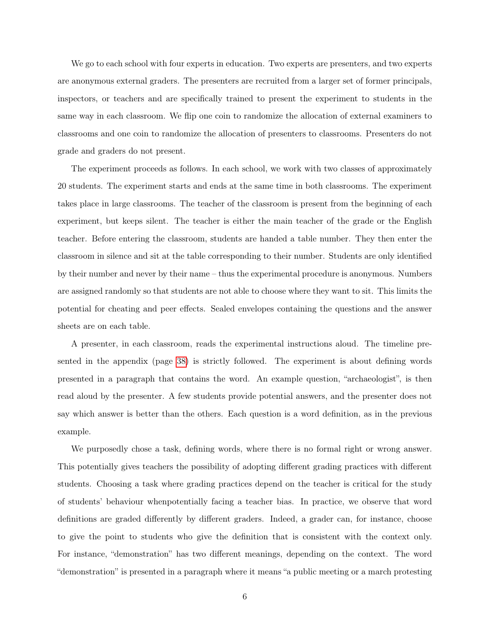We go to each school with four experts in education. Two experts are presenters, and two experts are anonymous external graders. The presenters are recruited from a larger set of former principals, inspectors, or teachers and are specifically trained to present the experiment to students in the same way in each classroom. We flip one coin to randomize the allocation of external examiners to classrooms and one coin to randomize the allocation of presenters to classrooms. Presenters do not grade and graders do not present.

The experiment proceeds as follows. In each school, we work with two classes of approximately 20 students. The experiment starts and ends at the same time in both classrooms. The experiment takes place in large classrooms. The teacher of the classroom is present from the beginning of each experiment, but keeps silent. The teacher is either the main teacher of the grade or the English teacher. Before entering the classroom, students are handed a table number. They then enter the classroom in silence and sit at the table corresponding to their number. Students are only identified by their number and never by their name – thus the experimental procedure is anonymous. Numbers are assigned randomly so that students are not able to choose where they want to sit. This limits the potential for cheating and peer effects. Sealed envelopes containing the questions and the answer sheets are on each table.

A presenter, in each classroom, reads the experimental instructions aloud. The timeline presented in the appendix (page [38\)](#page-43-0) is strictly followed. The experiment is about defining words presented in a paragraph that contains the word. An example question, "archaeologist", is then read aloud by the presenter. A few students provide potential answers, and the presenter does not say which answer is better than the others. Each question is a word definition, as in the previous example.

We purposedly chose a task, defining words, where there is no formal right or wrong answer. This potentially gives teachers the possibility of adopting different grading practices with different students. Choosing a task where grading practices depend on the teacher is critical for the study of students' behaviour whenpotentially facing a teacher bias. In practice, we observe that word definitions are graded differently by different graders. Indeed, a grader can, for instance, choose to give the point to students who give the definition that is consistent with the context only. For instance, "demonstration" has two different meanings, depending on the context. The word "demonstration" is presented in a paragraph where it means "a public meeting or a march protesting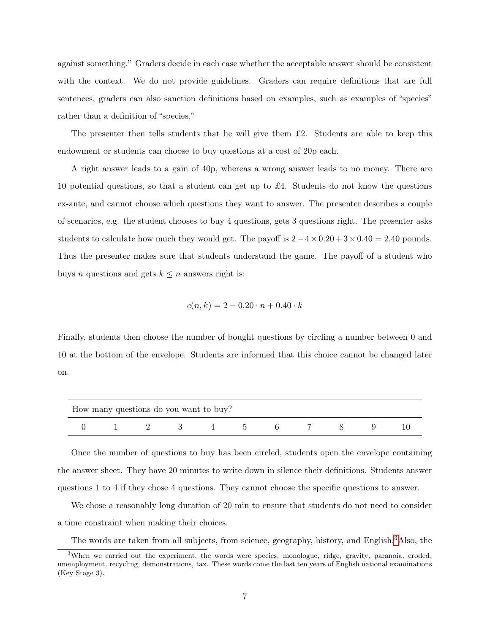against something." Graders decide in each case whether the acceptable answer should be consistent with the context. We do not provide guidelines. Graders can require definitions that are full sentences, graders can also sanction definitions based on examples, such as examples of "species" rather than a definition of "species."

The presenter then tells students that he will give them  $\pounds 2$ . Students are able to keep this endowment or students can choose to buy questions at a cost of 20p each.

A right answer leads to a gain of 40p, whereas a wrong answer leads to no money. There are 10 potential questions, so that a student can get up to £4. Students do not know the questions ex-ante, and cannot choose which questions they want to answer. The presenter describes a couple of scenarios, e.g. the student chooses to buy 4 questions, gets 3 questions right. The presenter asks students to calculate how much they would get. The payoff is  $2-4 \times 0.20 + 3 \times 0.40 = 2.40$  pounds. Thus the presenter makes sure that students understand the game. The payoff of a student who buys *n* questions and gets  $k \leq n$  answers right is:

$$
c(n,k) = 2 - 0.20 \cdot n + 0.40 \cdot k
$$

Finally, students then choose the number of bought questions by circling a number between 0 and 10 at the bottom of the envelope. Students are informed that this choice cannot be changed later on.

|  | How many questions do you want to buy? |  |  |  |  |
|--|----------------------------------------|--|--|--|--|
|  |                                        |  |  |  |  |

Once the number of questions to buy has been circled, students open the envelope containing the answer sheet. They have 20 minutes to write down in silence their definitions. Students answer questions 1 to 4 if they chose 4 questions. They cannot choose the specific questions to answer.

We chose a reasonably long duration of 20 min to ensure that students do not need to consider a time constraint when making their choices.

<span id="page-12-0"></span>The words are taken from all subjects, from science, geography, history, and English.<sup>[3](#page-12-0)</sup>Also, the

<sup>&</sup>lt;sup>3</sup>When we carried out the experiment, the words were species, monologue, ridge, gravity, paranoia, eroded, unemployment, recycling, demonstrations, tax. These words come the last ten years of English national examinations (Key Stage 3).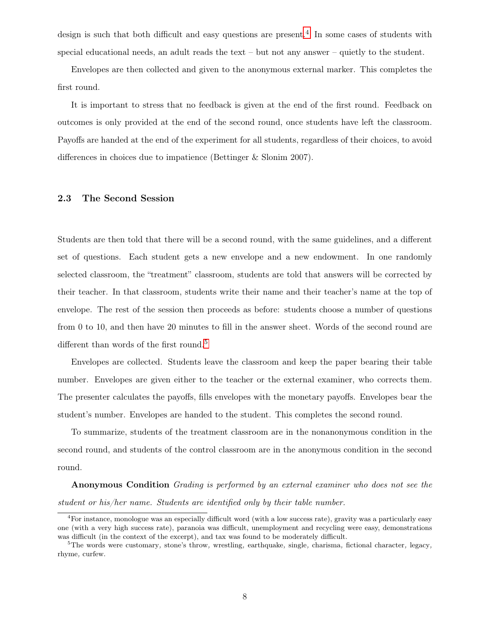design is such that both difficult and easy questions are present.<sup>[4](#page-13-0)</sup> In some cases of students with special educational needs, an adult reads the text – but not any answer – quietly to the student.

Envelopes are then collected and given to the anonymous external marker. This completes the first round.

It is important to stress that no feedback is given at the end of the first round. Feedback on outcomes is only provided at the end of the second round, once students have left the classroom. Payoffs are handed at the end of the experiment for all students, regardless of their choices, to avoid differences in choices due to impatience (Bettinger & Slonim 2007).

#### 2.3 The Second Session

Students are then told that there will be a second round, with the same guidelines, and a different set of questions. Each student gets a new envelope and a new endowment. In one randomly selected classroom, the "treatment" classroom, students are told that answers will be corrected by their teacher. In that classroom, students write their name and their teacher's name at the top of envelope. The rest of the session then proceeds as before: students choose a number of questions from 0 to 10, and then have 20 minutes to fill in the answer sheet. Words of the second round are different than words of the first round.<sup>[5](#page-13-1)</sup>

Envelopes are collected. Students leave the classroom and keep the paper bearing their table number. Envelopes are given either to the teacher or the external examiner, who corrects them. The presenter calculates the payoffs, fills envelopes with the monetary payoffs. Envelopes bear the student's number. Envelopes are handed to the student. This completes the second round.

To summarize, students of the treatment classroom are in the nonanonymous condition in the second round, and students of the control classroom are in the anonymous condition in the second round.

Anonymous Condition Grading is performed by an external examiner who does not see the student or his/her name. Students are identified only by their table number.

<span id="page-13-0"></span><sup>4</sup>For instance, monologue was an especially difficult word (with a low success rate), gravity was a particularly easy one (with a very high success rate), paranoia was difficult, unemployment and recycling were easy, demonstrations was difficult (in the context of the excerpt), and tax was found to be moderately difficult.

<span id="page-13-1"></span> $5$ The words were customary, stone's throw, wrestling, earthquake, single, charisma, fictional character, legacy, rhyme, curfew.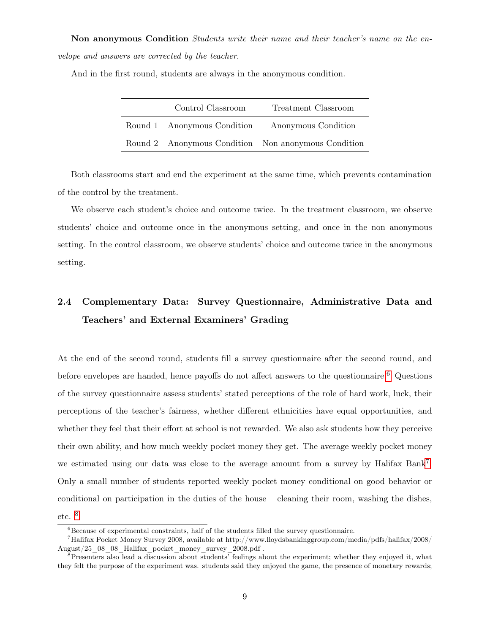Non anonymous Condition Students write their name and their teacher's name on the envelope and answers are corrected by the teacher.

And in the first round, students are always in the anonymous condition.

| Control Classroom           | Treatment Classroom                                 |
|-----------------------------|-----------------------------------------------------|
| Round 1 Anonymous Condition | Anonymous Condition                                 |
|                             | Round 2 Anonymous Condition Non anonymous Condition |

Both classrooms start and end the experiment at the same time, which prevents contamination of the control by the treatment.

We observe each student's choice and outcome twice. In the treatment classroom, we observe students' choice and outcome once in the anonymous setting, and once in the non anonymous setting. In the control classroom, we observe students' choice and outcome twice in the anonymous setting.

# 2.4 Complementary Data: Survey Questionnaire, Administrative Data and Teachers' and External Examiners' Grading

At the end of the second round, students fill a survey questionnaire after the second round, and before envelopes are handed, hence payoffs do not affect answers to the questionnaire.<sup>[6](#page-14-0)</sup> Questions of the survey questionnaire assess students' stated perceptions of the role of hard work, luck, their perceptions of the teacher's fairness, whether different ethnicities have equal opportunities, and whether they feel that their effort at school is not rewarded. We also ask students how they perceive their own ability, and how much weekly pocket money they get. The average weekly pocket money we estimated using our data was close to the average amount from a survey by Halifax Bank<sup>[7](#page-14-1)</sup>. Only a small number of students reported weekly pocket money conditional on good behavior or conditional on participation in the duties of the house – cleaning their room, washing the dishes, etc. [8](#page-14-2)

<span id="page-14-1"></span><span id="page-14-0"></span> ${}^{6}$ Because of experimental constraints, half of the students filled the survey questionnaire.

<sup>7</sup>Halifax Pocket Money Survey 2008, available at http://www.lloydsbankinggroup.com/media/pdfs/halifax/2008/ August/25\_08\_08\_Halifax\_pocket\_money\_survey\_2008.pdf .

<span id="page-14-2"></span><sup>&</sup>lt;sup>8</sup>Presenters also lead a discussion about students' feelings about the experiment; whether they enjoyed it, what they felt the purpose of the experiment was. students said they enjoyed the game, the presence of monetary rewards;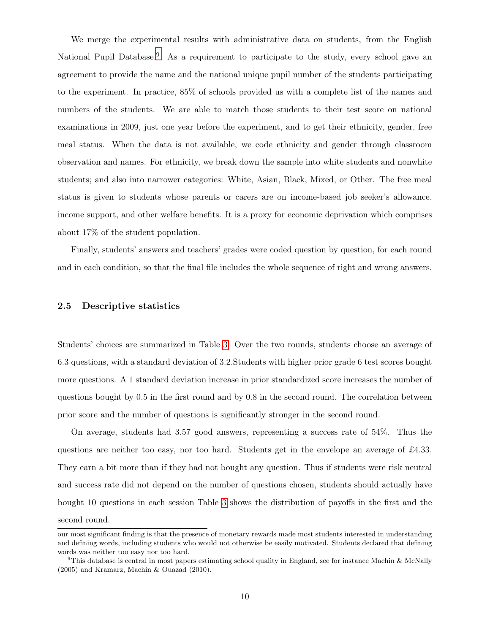We merge the experimental results with administrative data on students, from the English National Pupil Database.<sup>[9](#page-15-0)</sup> As a requirement to participate to the study, every school gave an agreement to provide the name and the national unique pupil number of the students participating to the experiment. In practice, 85% of schools provided us with a complete list of the names and numbers of the students. We are able to match those students to their test score on national examinations in 2009, just one year before the experiment, and to get their ethnicity, gender, free meal status. When the data is not available, we code ethnicity and gender through classroom observation and names. For ethnicity, we break down the sample into white students and nonwhite students; and also into narrower categories: White, Asian, Black, Mixed, or Other. The free meal status is given to students whose parents or carers are on income-based job seeker's allowance, income support, and other welfare benefits. It is a proxy for economic deprivation which comprises about 17% of the student population.

Finally, students' answers and teachers' grades were coded question by question, for each round and in each condition, so that the final file includes the whole sequence of right and wrong answers.

#### 2.5 Descriptive statistics

Students' choices are summarized in Table [3.](#page-34-0) Over the two rounds, students choose an average of 6.3 questions, with a standard deviation of 3.2.Students with higher prior grade 6 test scores bought more questions. A 1 standard deviation increase in prior standardized score increases the number of questions bought by 0.5 in the first round and by 0.8 in the second round. The correlation between prior score and the number of questions is significantly stronger in the second round.

On average, students had 3.57 good answers, representing a success rate of 54%. Thus the questions are neither too easy, nor too hard. Students get in the envelope an average of £4.33. They earn a bit more than if they had not bought any question. Thus if students were risk neutral and success rate did not depend on the number of questions chosen, students should actually have bought 10 questions in each session Table [3](#page-34-0) shows the distribution of payoffs in the first and the second round.

our most significant finding is that the presence of monetary rewards made most students interested in understanding and defining words, including students who would not otherwise be easily motivated. Students declared that defining words was neither too easy nor too hard.

<span id="page-15-0"></span> $9$ This database is central in most papers estimating school quality in England, see for instance Machin & McNally (2005) and Kramarz, Machin & Ouazad (2010).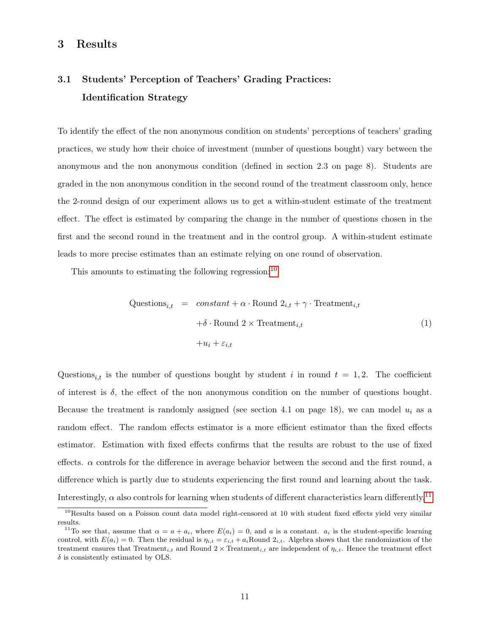## <span id="page-16-3"></span>3 Results

# 3.1 Students' Perception of Teachers' Grading Practices: Identification Strategy

To identify the effect of the non anonymous condition on students' perceptions of teachers' grading practices, we study how their choice of investment (number of questions bought) vary between the anonymous and the non anonymous condition (defined in section 2.3 on page 8). Students are graded in the non anonymous condition in the second round of the treatment classroom only, hence the 2-round design of our experiment allows us to get a within-student estimate of the treatment effect. The effect is estimated by comparing the change in the number of questions chosen in the first and the second round in the treatment and in the control group. A within-student estimate leads to more precise estimates than an estimate relying on one round of observation.

This amounts to estimating the following regression:<sup>[10](#page-16-0)</sup>

<span id="page-16-2"></span>Questions<sub>i,t</sub> = constant + 
$$
\alpha \cdot \text{Round } 2_{i,t} + \gamma \cdot \text{ Treatment}_{i,t}
$$

\n $+ \delta \cdot \text{Round } 2 \times \text{ Treatment}_{i,t}$ 

\n $+ u_i + \varepsilon_{i,t}$ 

\n(1)

Questions<sub>it</sub> is the number of questions bought by student i in round  $t = 1, 2$ . The coefficient of interest is  $\delta$ , the effect of the non anonymous condition on the number of questions bought. Because the treatment is randomly assigned (see section 4.1 on page 18), we can model  $u_i$  as a random effect. The random effects estimator is a more efficient estimator than the fixed effects estimator. Estimation with fixed effects confirms that the results are robust to the use of fixed effects.  $\alpha$  controls for the difference in average behavior between the second and the first round, a difference which is partly due to students experiencing the first round and learning about the task. Interestingly,  $\alpha$  also controls for learning when students of different characteristics learn differently.<sup>[11](#page-16-1)</sup>

<span id="page-16-0"></span> $10$ Results based on a Poisson count data model right-censored at 10 with student fixed effects yield very similar results.

<span id="page-16-1"></span><sup>&</sup>lt;sup>11</sup>To see that, assume that  $\alpha = a + a_i$ , where  $E(a_i) = 0$ , and a is a constant.  $a_i$  is the student-specific learning control, with  $E(a_i) = 0$ . Then the residual is  $\eta_{i,t} = \varepsilon_{i,t} + a_i$ Round  $2_{i,t}$ . Algebra shows that the randomization of the treatment ensures that Treatment<sub>i,t</sub> and Round 2 × Treatment<sub>i,t</sub> are independent of  $\eta_{i,t}$ . Hence the treatment effect  $\delta$  is consistently estimated by OLS.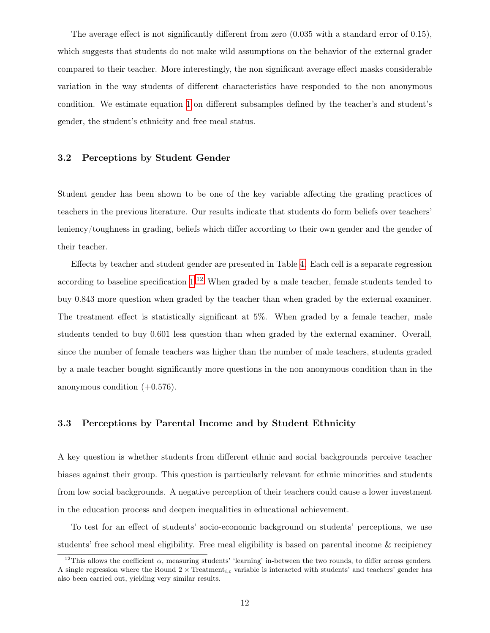The average effect is not significantly different from zero  $(0.035 \text{ with a standard error of } 0.15)$ , which suggests that students do not make wild assumptions on the behavior of the external grader compared to their teacher. More interestingly, the non significant average effect masks considerable variation in the way students of different characteristics have responded to the non anonymous condition. We estimate equation [1](#page-16-2) on different subsamples defined by the teacher's and student's gender, the student's ethnicity and free meal status.

#### 3.2 Perceptions by Student Gender

Student gender has been shown to be one of the key variable affecting the grading practices of teachers in the previous literature. Our results indicate that students do form beliefs over teachers' leniency/toughness in grading, beliefs which differ according to their own gender and the gender of their teacher.

Effects by teacher and student gender are presented in Table [4.](#page-35-0) Each cell is a separate regression according to baseline specification  $1<sup>12</sup>$  $1<sup>12</sup>$  $1<sup>12</sup>$  When graded by a male teacher, female students tended to buy 0.843 more question when graded by the teacher than when graded by the external examiner. The treatment effect is statistically significant at 5%. When graded by a female teacher, male students tended to buy 0.601 less question than when graded by the external examiner. Overall, since the number of female teachers was higher than the number of male teachers, students graded by a male teacher bought significantly more questions in the non anonymous condition than in the anonymous condition  $(+0.576)$ .

#### 3.3 Perceptions by Parental Income and by Student Ethnicity

A key question is whether students from different ethnic and social backgrounds perceive teacher biases against their group. This question is particularly relevant for ethnic minorities and students from low social backgrounds. A negative perception of their teachers could cause a lower investment in the education process and deepen inequalities in educational achievement.

To test for an effect of students' socio-economic background on students' perceptions, we use students' free school meal eligibility. Free meal eligibility is based on parental income & recipiency

<span id="page-17-0"></span><sup>&</sup>lt;sup>12</sup>This allows the coefficient  $\alpha$ , measuring students' 'learning' in-between the two rounds, to differ across genders. A single regression where the Round  $2 \times \text{Treatment}_{i,t}$  variable is interacted with students' and teachers' gender has also been carried out, yielding very similar results.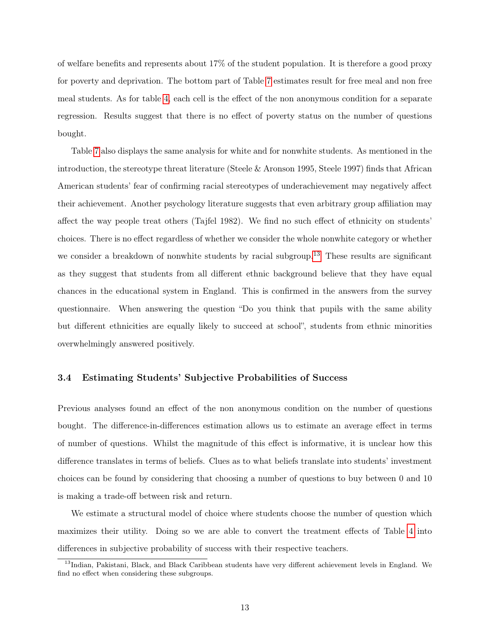of welfare benefits and represents about 17% of the student population. It is therefore a good proxy for poverty and deprivation. The bottom part of Table [7](#page-38-0) estimates result for free meal and non free meal students. As for table [4,](#page-35-0) each cell is the effect of the non anonymous condition for a separate regression. Results suggest that there is no effect of poverty status on the number of questions bought.

Table [7](#page-38-0) also displays the same analysis for white and for nonwhite students. As mentioned in the introduction, the stereotype threat literature (Steele & Aronson 1995, Steele 1997) finds that African American students' fear of confirming racial stereotypes of underachievement may negatively affect their achievement. Another psychology literature suggests that even arbitrary group affiliation may affect the way people treat others (Tajfel 1982). We find no such effect of ethnicity on students' choices. There is no effect regardless of whether we consider the whole nonwhite category or whether we consider a breakdown of nonwhite students by racial subgroup.<sup>[13](#page-18-0)</sup> These results are significant as they suggest that students from all different ethnic background believe that they have equal chances in the educational system in England. This is confirmed in the answers from the survey questionnaire. When answering the question "Do you think that pupils with the same ability but different ethnicities are equally likely to succeed at school", students from ethnic minorities overwhelmingly answered positively.

#### 3.4 Estimating Students' Subjective Probabilities of Success

Previous analyses found an effect of the non anonymous condition on the number of questions bought. The difference-in-differences estimation allows us to estimate an average effect in terms of number of questions. Whilst the magnitude of this effect is informative, it is unclear how this difference translates in terms of beliefs. Clues as to what beliefs translate into students' investment choices can be found by considering that choosing a number of questions to buy between 0 and 10 is making a trade-off between risk and return.

We estimate a structural model of choice where students choose the number of question which maximizes their utility. Doing so we are able to convert the treatment effects of Table [4](#page-35-0) into differences in subjective probability of success with their respective teachers.

<span id="page-18-0"></span><sup>&</sup>lt;sup>13</sup>Indian, Pakistani, Black, and Black Caribbean students have very different achievement levels in England. We find no effect when considering these subgroups.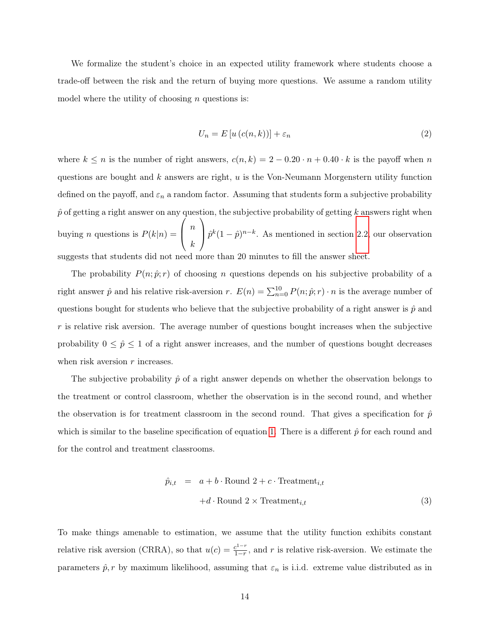We formalize the student's choice in an expected utility framework where students choose a trade-off between the risk and the return of buying more questions. We assume a random utility model where the utility of choosing  $n$  questions is:

$$
U_n = E\left[u\left(c(n,k)\right)\right] + \varepsilon_n \tag{2}
$$

where  $k \leq n$  is the number of right answers,  $c(n, k) = 2 - 0.20 \cdot n + 0.40 \cdot k$  is the payoff when n questions are bought and  $k$  answers are right,  $u$  is the Von-Neumann Morgenstern utility function defined on the payoff, and  $\varepsilon_n$  a random factor. Assuming that students form a subjective probability  $\hat{p}$  of getting a right answer on any question, the subjective probability of getting k answers right when buying *n* questions is  $P(k|n) =$  $\sqrt{ }$  $\left\vert \right\vert$ n k  $\setminus$  $\int \hat{p}^k (1-\hat{p})^{n-k}$ . As mentioned in section [2.2,](#page-10-1) our observation suggests that students did not need more than 20 minutes to fill the answer sheet.

The probability  $P(n; \hat{p}; r)$  of choosing n questions depends on his subjective probability of a right answer  $\hat{p}$  and his relative risk-aversion r.  $E(n) = \sum_{n=0}^{10} P(n; \hat{p}; r) \cdot n$  is the average number of questions bought for students who believe that the subjective probability of a right answer is  $\hat{p}$  and  $r$  is relative risk aversion. The average number of questions bought increases when the subjective probability  $0 \leq \hat{p} \leq 1$  of a right answer increases, and the number of questions bought decreases when risk aversion  $r$  increases.

The subjective probability  $\hat{p}$  of a right answer depends on whether the observation belongs to the treatment or control classroom, whether the observation is in the second round, and whether the observation is for treatment classroom in the second round. That gives a specification for  $\hat{p}$ which is similar to the baseline specification of equation [1.](#page-16-2) There is a different  $\hat{p}$  for each round and for the control and treatment classrooms.

$$
\hat{p}_{i,t} = a + b \cdot \text{Round } 2 + c \cdot \text{ Treatment}_{i,t} \n+ d \cdot \text{Round } 2 \times \text{ Treatment}_{i,t}
$$
\n(3)

To make things amenable to estimation, we assume that the utility function exhibits constant relative risk aversion (CRRA), so that  $u(c) = \frac{c^{1-r}}{1-r}$  $\frac{c^{1-r}}{1-r}$ , and r is relative risk-aversion. We estimate the parameters  $\hat{p}, r$  by maximum likelihood, assuming that  $\varepsilon_n$  is i.i.d. extreme value distributed as in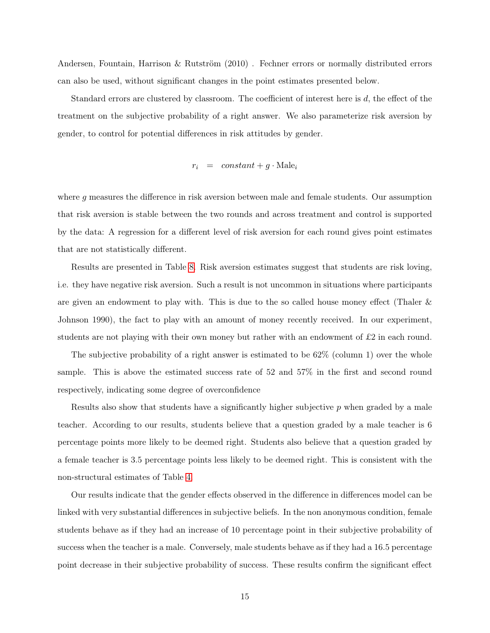Andersen, Fountain, Harrison & Rutström (2010) . Fechner errors or normally distributed errors can also be used, without significant changes in the point estimates presented below.

Standard errors are clustered by classroom. The coefficient of interest here is d, the effect of the treatment on the subjective probability of a right answer. We also parameterize risk aversion by gender, to control for potential differences in risk attitudes by gender.

$$
r_i = constant + g \cdot \text{Male}_i
$$

where g measures the difference in risk aversion between male and female students. Our assumption that risk aversion is stable between the two rounds and across treatment and control is supported by the data: A regression for a different level of risk aversion for each round gives point estimates that are not statistically different.

Results are presented in Table [8.](#page-39-0) Risk aversion estimates suggest that students are risk loving, i.e. they have negative risk aversion. Such a result is not uncommon in situations where participants are given an endowment to play with. This is due to the so called house money effect (Thaler & Johnson 1990), the fact to play with an amount of money recently received. In our experiment, students are not playing with their own money but rather with an endowment of  $\pounds 2$  in each round.

The subjective probability of a right answer is estimated to be  $62\%$  (column 1) over the whole sample. This is above the estimated success rate of 52 and 57% in the first and second round respectively, indicating some degree of overconfidence

Results also show that students have a significantly higher subjective p when graded by a male teacher. According to our results, students believe that a question graded by a male teacher is 6 percentage points more likely to be deemed right. Students also believe that a question graded by a female teacher is 3.5 percentage points less likely to be deemed right. This is consistent with the non-structural estimates of Table [4.](#page-35-0)

Our results indicate that the gender effects observed in the difference in differences model can be linked with very substantial differences in subjective beliefs. In the non anonymous condition, female students behave as if they had an increase of 10 percentage point in their subjective probability of success when the teacher is a male. Conversely, male students behave as if they had a 16.5 percentage point decrease in their subjective probability of success. These results confirm the significant effect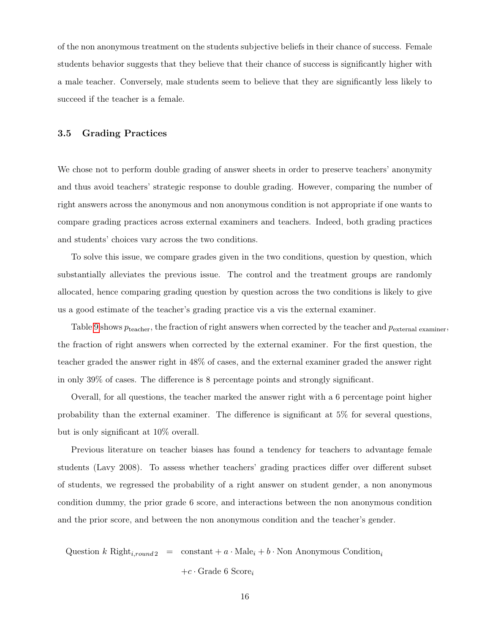of the non anonymous treatment on the students subjective beliefs in their chance of success. Female students behavior suggests that they believe that their chance of success is significantly higher with a male teacher. Conversely, male students seem to believe that they are significantly less likely to succeed if the teacher is a female.

#### 3.5 Grading Practices

We chose not to perform double grading of answer sheets in order to preserve teachers' anonymity and thus avoid teachers' strategic response to double grading. However, comparing the number of right answers across the anonymous and non anonymous condition is not appropriate if one wants to compare grading practices across external examiners and teachers. Indeed, both grading practices and students' choices vary across the two conditions.

To solve this issue, we compare grades given in the two conditions, question by question, which substantially alleviates the previous issue. The control and the treatment groups are randomly allocated, hence comparing grading question by question across the two conditions is likely to give us a good estimate of the teacher's grading practice vis a vis the external examiner.

Table [9](#page-40-0) shows  $p_{\text{teacher}}$ , the fraction of right answers when corrected by the teacher and  $p_{\text{external example}}$ , the fraction of right answers when corrected by the external examiner. For the first question, the teacher graded the answer right in 48% of cases, and the external examiner graded the answer right in only 39% of cases. The difference is 8 percentage points and strongly significant.

Overall, for all questions, the teacher marked the answer right with a 6 percentage point higher probability than the external examiner. The difference is significant at 5% for several questions, but is only significant at 10% overall.

Previous literature on teacher biases has found a tendency for teachers to advantage female students (Lavy 2008). To assess whether teachers' grading practices differ over different subset of students, we regressed the probability of a right answer on student gender, a non anonymous condition dummy, the prior grade 6 score, and interactions between the non anonymous condition and the prior score, and between the non anonymous condition and the teacher's gender.

Question k Right<sub>i,round 2</sub> = constant + a · Male<sub>i</sub> + b · Non Anonymous Condition<sub>i</sub>

 $+c \cdot$  Grade 6 Score<sub>i</sub>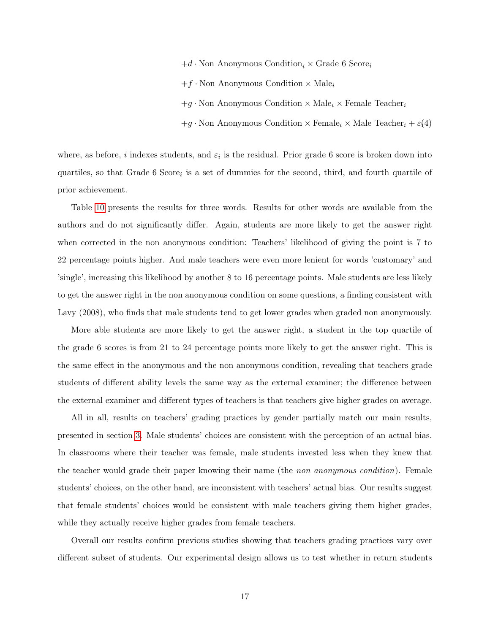- $+d \cdot$  Non Anonymous Condition<sub>i</sub>  $\times$  Grade 6 Score<sub>i</sub>
- $+f \cdot$  Non Anonymous Condition  $\times$  Male<sub>i</sub>
- $+g \cdot$  Non Anonymous Condition  $\times$  Male<sub>i</sub>  $\times$  Female Teacher<sub>i</sub>
- $+g \cdot$  Non Anonymous Condition  $\times$  Female<sub>i</sub>  $\times$  Male Teacher<sub>i</sub> +  $\varepsilon$ (4)

where, as before, i indexes students, and  $\varepsilon_i$  is the residual. Prior grade 6 score is broken down into quartiles, so that Grade 6 Score<sub>i</sub> is a set of dummies for the second, third, and fourth quartile of prior achievement.

Table [10](#page-41-0) presents the results for three words. Results for other words are available from the authors and do not significantly differ. Again, students are more likely to get the answer right when corrected in the non anonymous condition: Teachers' likelihood of giving the point is 7 to 22 percentage points higher. And male teachers were even more lenient for words 'customary' and 'single', increasing this likelihood by another 8 to 16 percentage points. Male students are less likely to get the answer right in the non anonymous condition on some questions, a finding consistent with Lavy (2008), who finds that male students tend to get lower grades when graded non anonymously.

More able students are more likely to get the answer right, a student in the top quartile of the grade 6 scores is from 21 to 24 percentage points more likely to get the answer right. This is the same effect in the anonymous and the non anonymous condition, revealing that teachers grade students of different ability levels the same way as the external examiner; the difference between the external examiner and different types of teachers is that teachers give higher grades on average.

All in all, results on teachers' grading practices by gender partially match our main results, presented in section [3.](#page-16-3) Male students' choices are consistent with the perception of an actual bias. In classrooms where their teacher was female, male students invested less when they knew that the teacher would grade their paper knowing their name (the non anonymous condition). Female students' choices, on the other hand, are inconsistent with teachers' actual bias. Our results suggest that female students' choices would be consistent with male teachers giving them higher grades, while they actually receive higher grades from female teachers.

Overall our results confirm previous studies showing that teachers grading practices vary over different subset of students. Our experimental design allows us to test whether in return students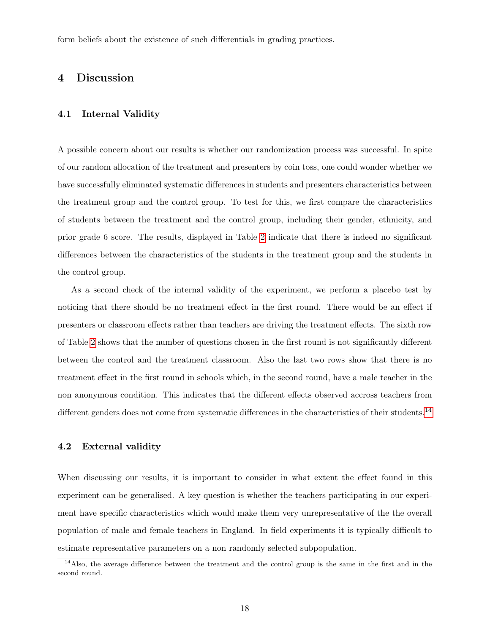form beliefs about the existence of such differentials in grading practices.

### 4 Discussion

#### 4.1 Internal Validity

A possible concern about our results is whether our randomization process was successful. In spite of our random allocation of the treatment and presenters by coin toss, one could wonder whether we have successfully eliminated systematic differences in students and presenters characteristics between the treatment group and the control group. To test for this, we first compare the characteristics of students between the treatment and the control group, including their gender, ethnicity, and prior grade 6 score. The results, displayed in Table [2](#page-33-0) indicate that there is indeed no significant differences between the characteristics of the students in the treatment group and the students in the control group.

As a second check of the internal validity of the experiment, we perform a placebo test by noticing that there should be no treatment effect in the first round. There would be an effect if presenters or classroom effects rather than teachers are driving the treatment effects. The sixth row of Table [2](#page-33-0) shows that the number of questions chosen in the first round is not significantly different between the control and the treatment classroom. Also the last two rows show that there is no treatment effect in the first round in schools which, in the second round, have a male teacher in the non anonymous condition. This indicates that the different effects observed accross teachers from different genders does not come from systematic differences in the characteristics of their students.<sup>[14](#page-23-0)</sup>

#### 4.2 External validity

When discussing our results, it is important to consider in what extent the effect found in this experiment can be generalised. A key question is whether the teachers participating in our experiment have specific characteristics which would make them very unrepresentative of the the overall population of male and female teachers in England. In field experiments it is typically difficult to estimate representative parameters on a non randomly selected subpopulation.

<span id="page-23-0"></span> $14$ Also, the average difference between the treatment and the control group is the same in the first and in the second round.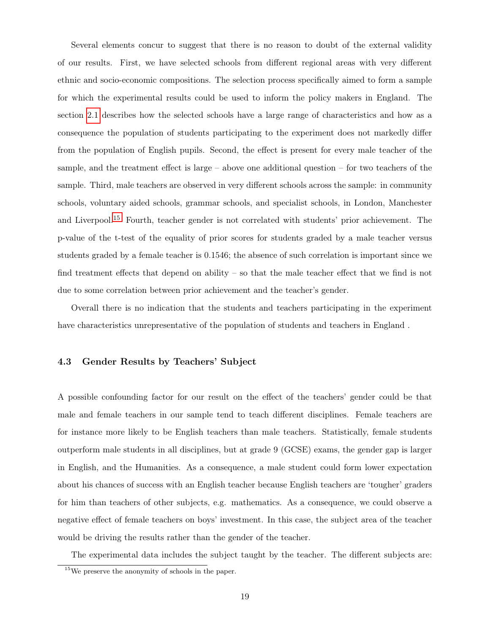Several elements concur to suggest that there is no reason to doubt of the external validity of our results. First, we have selected schools from different regional areas with very different ethnic and socio-economic compositions. The selection process specifically aimed to form a sample for which the experimental results could be used to inform the policy makers in England. The section [2.1](#page-10-2) describes how the selected schools have a large range of characteristics and how as a consequence the population of students participating to the experiment does not markedly differ from the population of English pupils. Second, the effect is present for every male teacher of the sample, and the treatment effect is large – above one additional question – for two teachers of the sample. Third, male teachers are observed in very different schools across the sample: in community schools, voluntary aided schools, grammar schools, and specialist schools, in London, Manchester and Liverpool.[15](#page-24-0) Fourth, teacher gender is not correlated with students' prior achievement. The p-value of the t-test of the equality of prior scores for students graded by a male teacher versus students graded by a female teacher is 0.1546; the absence of such correlation is important since we find treatment effects that depend on ability – so that the male teacher effect that we find is not due to some correlation between prior achievement and the teacher's gender.

Overall there is no indication that the students and teachers participating in the experiment have characteristics unrepresentative of the population of students and teachers in England .

#### 4.3 Gender Results by Teachers' Subject

A possible confounding factor for our result on the effect of the teachers' gender could be that male and female teachers in our sample tend to teach different disciplines. Female teachers are for instance more likely to be English teachers than male teachers. Statistically, female students outperform male students in all disciplines, but at grade 9 (GCSE) exams, the gender gap is larger in English, and the Humanities. As a consequence, a male student could form lower expectation about his chances of success with an English teacher because English teachers are 'tougher' graders for him than teachers of other subjects, e.g. mathematics. As a consequence, we could observe a negative effect of female teachers on boys' investment. In this case, the subject area of the teacher would be driving the results rather than the gender of the teacher.

The experimental data includes the subject taught by the teacher. The different subjects are:

<span id="page-24-0"></span><sup>15</sup>We preserve the anonymity of schools in the paper.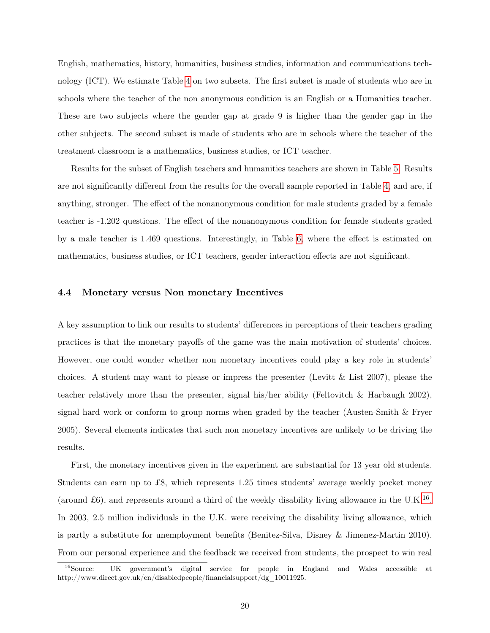English, mathematics, history, humanities, business studies, information and communications technology (ICT). We estimate Table [4](#page-35-0) on two subsets. The first subset is made of students who are in schools where the teacher of the non anonymous condition is an English or a Humanities teacher. These are two subjects where the gender gap at grade 9 is higher than the gender gap in the other subjects. The second subset is made of students who are in schools where the teacher of the treatment classroom is a mathematics, business studies, or ICT teacher.

Results for the subset of English teachers and humanities teachers are shown in Table [5.](#page-36-0) Results are not significantly different from the results for the overall sample reported in Table [4,](#page-35-0) and are, if anything, stronger. The effect of the nonanonymous condition for male students graded by a female teacher is -1.202 questions. The effect of the nonanonymous condition for female students graded by a male teacher is 1.469 questions. Interestingly, in Table [6,](#page-37-0) where the effect is estimated on mathematics, business studies, or ICT teachers, gender interaction effects are not significant.

#### 4.4 Monetary versus Non monetary Incentives

A key assumption to link our results to students' differences in perceptions of their teachers grading practices is that the monetary payoffs of the game was the main motivation of students' choices. However, one could wonder whether non monetary incentives could play a key role in students' choices. A student may want to please or impress the presenter (Levitt  $\&$  List 2007), please the teacher relatively more than the presenter, signal his/her ability (Feltovitch & Harbaugh 2002), signal hard work or conform to group norms when graded by the teacher (Austen-Smith & Fryer 2005). Several elements indicates that such non monetary incentives are unlikely to be driving the results.

First, the monetary incentives given in the experiment are substantial for 13 year old students. Students can earn up to £8, which represents 1.25 times students' average weekly pocket money (around £6), and represents around a third of the weekly disability living allowance in the U.K.<sup>[16](#page-25-0)</sup>. In 2003, 2.5 million individuals in the U.K. were receiving the disability living allowance, which is partly a substitute for unemployment benefits (Benitez-Silva, Disney & Jimenez-Martin 2010). From our personal experience and the feedback we received from students, the prospect to win real

<span id="page-25-0"></span><sup>16</sup>Source: UK government's digital service for people in England and Wales accessible at http://www.direct.gov.uk/en/disabledpeople/financialsupport/dg\_10011925.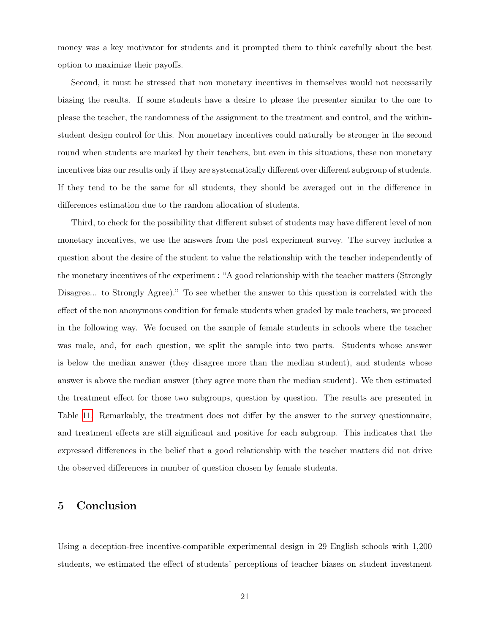money was a key motivator for students and it prompted them to think carefully about the best option to maximize their payoffs.

Second, it must be stressed that non monetary incentives in themselves would not necessarily biasing the results. If some students have a desire to please the presenter similar to the one to please the teacher, the randomness of the assignment to the treatment and control, and the withinstudent design control for this. Non monetary incentives could naturally be stronger in the second round when students are marked by their teachers, but even in this situations, these non monetary incentives bias our results only if they are systematically different over different subgroup of students. If they tend to be the same for all students, they should be averaged out in the difference in differences estimation due to the random allocation of students.

Third, to check for the possibility that different subset of students may have different level of non monetary incentives, we use the answers from the post experiment survey. The survey includes a question about the desire of the student to value the relationship with the teacher independently of the monetary incentives of the experiment : "A good relationship with the teacher matters (Strongly Disagree... to Strongly Agree)." To see whether the answer to this question is correlated with the effect of the non anonymous condition for female students when graded by male teachers, we proceed in the following way. We focused on the sample of female students in schools where the teacher was male, and, for each question, we split the sample into two parts. Students whose answer is below the median answer (they disagree more than the median student), and students whose answer is above the median answer (they agree more than the median student). We then estimated the treatment effect for those two subgroups, question by question. The results are presented in Table [11.](#page-42-0) Remarkably, the treatment does not differ by the answer to the survey questionnaire, and treatment effects are still significant and positive for each subgroup. This indicates that the expressed differences in the belief that a good relationship with the teacher matters did not drive the observed differences in number of question chosen by female students.

# 5 Conclusion

Using a deception-free incentive-compatible experimental design in 29 English schools with 1,200 students, we estimated the effect of students' perceptions of teacher biases on student investment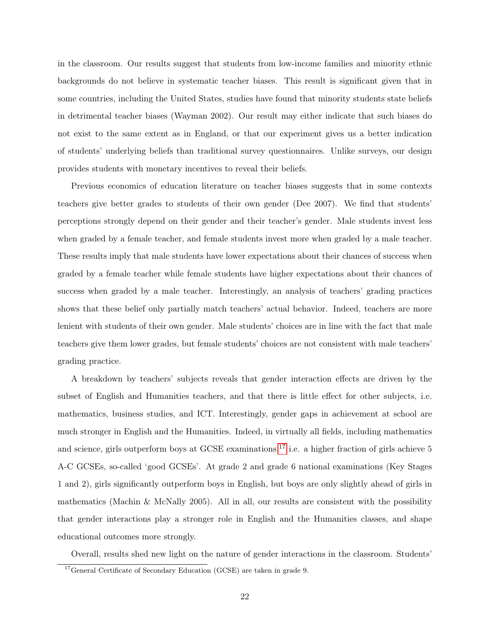in the classroom. Our results suggest that students from low-income families and minority ethnic backgrounds do not believe in systematic teacher biases. This result is significant given that in some countries, including the United States, studies have found that minority students state beliefs in detrimental teacher biases (Wayman 2002). Our result may either indicate that such biases do not exist to the same extent as in England, or that our experiment gives us a better indication of students' underlying beliefs than traditional survey questionnaires. Unlike surveys, our design provides students with monetary incentives to reveal their beliefs.

Previous economics of education literature on teacher biases suggests that in some contexts teachers give better grades to students of their own gender (Dee 2007). We find that students' perceptions strongly depend on their gender and their teacher's gender. Male students invest less when graded by a female teacher, and female students invest more when graded by a male teacher. These results imply that male students have lower expectations about their chances of success when graded by a female teacher while female students have higher expectations about their chances of success when graded by a male teacher. Interestingly, an analysis of teachers' grading practices shows that these belief only partially match teachers' actual behavior. Indeed, teachers are more lenient with students of their own gender. Male students' choices are in line with the fact that male teachers give them lower grades, but female students' choices are not consistent with male teachers' grading practice.

A breakdown by teachers' subjects reveals that gender interaction effects are driven by the subset of English and Humanities teachers, and that there is little effect for other subjects, i.e. mathematics, business studies, and ICT. Interestingly, gender gaps in achievement at school are much stronger in English and the Humanities. Indeed, in virtually all fields, including mathematics and science, girls outperform boys at GCSE examinations,<sup>[17](#page-27-0)</sup> i.e. a higher fraction of girls achieve 5 A-C GCSEs, so-called 'good GCSEs'. At grade 2 and grade 6 national examinations (Key Stages 1 and 2), girls significantly outperform boys in English, but boys are only slightly ahead of girls in mathematics (Machin & McNally 2005). All in all, our results are consistent with the possibility that gender interactions play a stronger role in English and the Humanities classes, and shape educational outcomes more strongly.

Overall, results shed new light on the nature of gender interactions in the classroom. Students'

<span id="page-27-0"></span><sup>&</sup>lt;sup>17</sup>General Certificate of Secondary Education (GCSE) are taken in grade 9.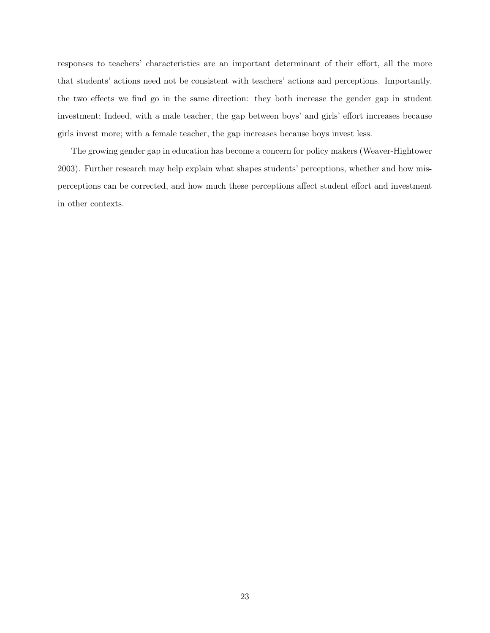responses to teachers' characteristics are an important determinant of their effort, all the more that students' actions need not be consistent with teachers' actions and perceptions. Importantly, the two effects we find go in the same direction: they both increase the gender gap in student investment; Indeed, with a male teacher, the gap between boys' and girls' effort increases because girls invest more; with a female teacher, the gap increases because boys invest less.

The growing gender gap in education has become a concern for policy makers (Weaver-Hightower 2003). Further research may help explain what shapes students' perceptions, whether and how misperceptions can be corrected, and how much these perceptions affect student effort and investment in other contexts.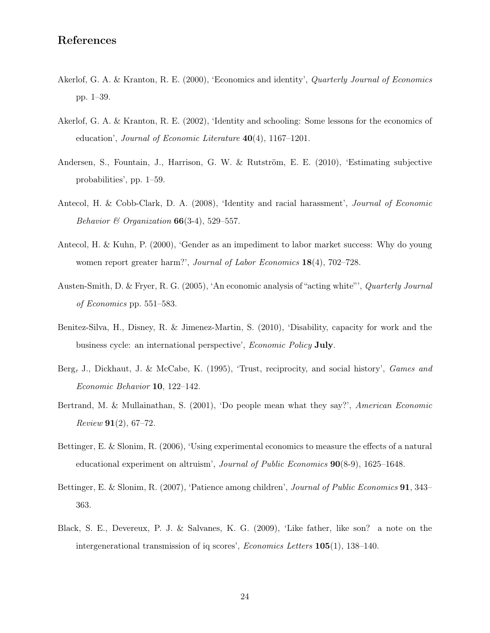# References

- Akerlof, G. A. & Kranton, R. E. (2000), 'Economics and identity', Quarterly Journal of Economics pp. 1–39.
- Akerlof, G. A. & Kranton, R. E. (2002), 'Identity and schooling: Some lessons for the economics of education', *Journal of Economic Literature*  $40(4)$ , 1167–1201.
- Andersen, S., Fountain, J., Harrison, G. W. & Rutström, E. E. (2010), 'Estimating subjective probabilities', pp. 1–59.
- Antecol, H. & Cobb-Clark, D. A. (2008), 'Identity and racial harassment', Journal of Economic Behavior & Organization  $66(3-4)$ , 529-557.
- Antecol, H. & Kuhn, P. (2000), 'Gender as an impediment to labor market success: Why do young women report greater harm?', *Journal of Labor Economics* 18(4), 702–728.
- Austen-Smith, D. & Fryer, R. G. (2005), 'An economic analysis of "acting white"', Quarterly Journal of Economics pp. 551–583.
- Benitez-Silva, H., Disney, R. & Jimenez-Martin, S. (2010), 'Disability, capacity for work and the business cycle: an international perspective', Economic Policy July.
- Berg, J., Dickhaut, J. & McCabe, K. (1995), 'Trust, reciprocity, and social history', Games and Economic Behavior 10, 122–142.
- Bertrand, M. & Mullainathan, S. (2001), 'Do people mean what they say?', American Economic  $Review 91(2), 67-72.$
- Bettinger, E. & Slonim, R. (2006), 'Using experimental economics to measure the effects of a natural educational experiment on altruism', Journal of Public Economics 90(8-9), 1625–1648.
- Bettinger, E. & Slonim, R. (2007), 'Patience among children', *Journal of Public Economics* **91**, 343– 363.
- Black, S. E., Devereux, P. J. & Salvanes, K. G. (2009), 'Like father, like son? a note on the intergenerational transmission of iq scores', Economics Letters 105(1), 138–140.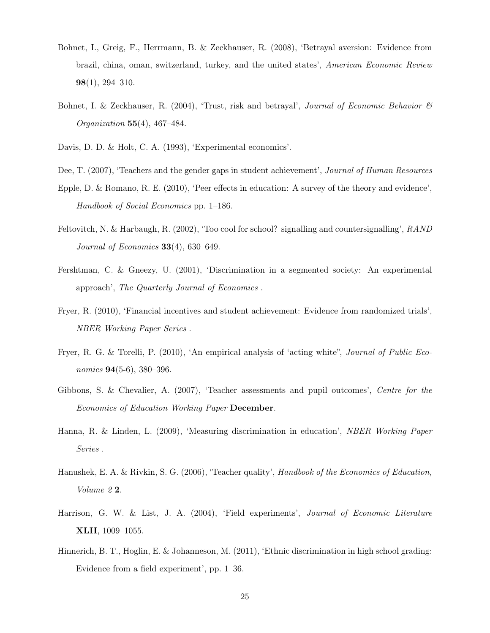- Bohnet, I., Greig, F., Herrmann, B. & Zeckhauser, R. (2008), 'Betrayal aversion: Evidence from brazil, china, oman, switzerland, turkey, and the united states', American Economic Review 98(1), 294–310.
- Bohnet, I. & Zeckhauser, R. (2004), 'Trust, risk and betrayal', Journal of Economic Behavior  $\mathcal{B}$ Organization 55(4), 467–484.
- Davis, D. D. & Holt, C. A. (1993), 'Experimental economics'.
- Dee, T. (2007), 'Teachers and the gender gaps in student achievement', Journal of Human Resources
- Epple, D. & Romano, R. E. (2010), 'Peer effects in education: A survey of the theory and evidence', Handbook of Social Economics pp. 1–186.
- Feltovitch, N. & Harbaugh, R. (2002), 'Too cool for school? signalling and countersignalling', RAND Journal of Economics  $33(4)$ , 630-649.
- Fershtman, C. & Gneezy, U. (2001), 'Discrimination in a segmented society: An experimental approach', The Quarterly Journal of Economics .
- Fryer, R. (2010), 'Financial incentives and student achievement: Evidence from randomized trials', NBER Working Paper Series .
- Fryer, R. G. & Torelli, P. (2010), 'An empirical analysis of 'acting white", Journal of Public Economics **94**(5-6), 380–396.
- Gibbons, S. & Chevalier, A. (2007), 'Teacher assessments and pupil outcomes', Centre for the Economics of Education Working Paper December.
- Hanna, R. & Linden, L. (2009), 'Measuring discrimination in education', NBER Working Paper Series .
- Hanushek, E. A. & Rivkin, S. G. (2006), 'Teacher quality', Handbook of the Economics of Education, Volume 2 2.
- Harrison, G. W. & List, J. A. (2004), 'Field experiments', Journal of Economic Literature XLII, 1009–1055.
- Hinnerich, B. T., Hoglin, E. & Johanneson, M. (2011), 'Ethnic discrimination in high school grading: Evidence from a field experiment', pp. 1–36.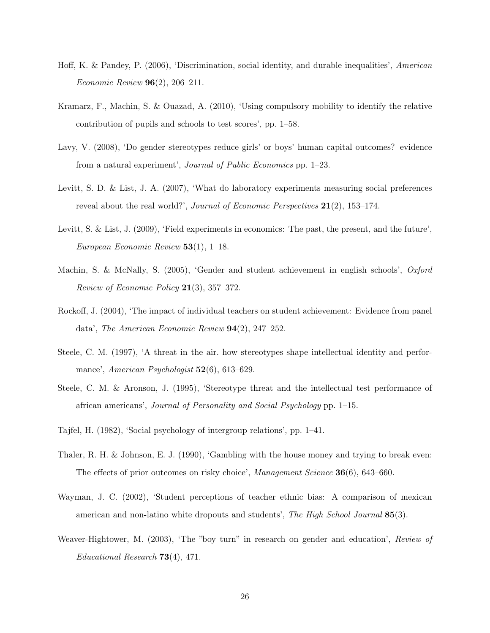- Hoff, K. & Pandey, P. (2006), 'Discrimination, social identity, and durable inequalities', American Economic Review 96(2), 206–211.
- Kramarz, F., Machin, S. & Ouazad, A. (2010), 'Using compulsory mobility to identify the relative contribution of pupils and schools to test scores', pp. 1–58.
- Lavy, V. (2008), 'Do gender stereotypes reduce girls' or boys' human capital outcomes? evidence from a natural experiment', Journal of Public Economics pp. 1–23.
- Levitt, S. D. & List, J. A. (2007), 'What do laboratory experiments measuring social preferences reveal about the real world?', Journal of Economic Perspectives  $21(2)$ , 153–174.
- Levitt, S. & List, J. (2009), 'Field experiments in economics: The past, the present, and the future', European Economic Review  $53(1)$ , 1–18.
- Machin, S. & McNally, S. (2005), 'Gender and student achievement in english schools', Oxford *Review of Economic Policy*  $21(3)$ , 357–372.
- Rockoff, J. (2004), 'The impact of individual teachers on student achievement: Evidence from panel data', The American Economic Review 94(2), 247–252.
- Steele, C. M. (1997), 'A threat in the air. how stereotypes shape intellectual identity and performance', American Psychologist 52(6), 613-629.
- Steele, C. M. & Aronson, J. (1995), 'Stereotype threat and the intellectual test performance of african americans', Journal of Personality and Social Psychology pp. 1–15.
- Tajfel, H. (1982), 'Social psychology of intergroup relations', pp. 1–41.
- Thaler, R. H. & Johnson, E. J. (1990), 'Gambling with the house money and trying to break even: The effects of prior outcomes on risky choice', Management Science 36(6), 643–660.
- Wayman, J. C. (2002), 'Student perceptions of teacher ethnic bias: A comparison of mexican american and non-latino white dropouts and students', The High School Journal 85(3).
- Weaver-Hightower, M. (2003), 'The "boy turn" in research on gender and education', Review of Educational Research 73(4), 471.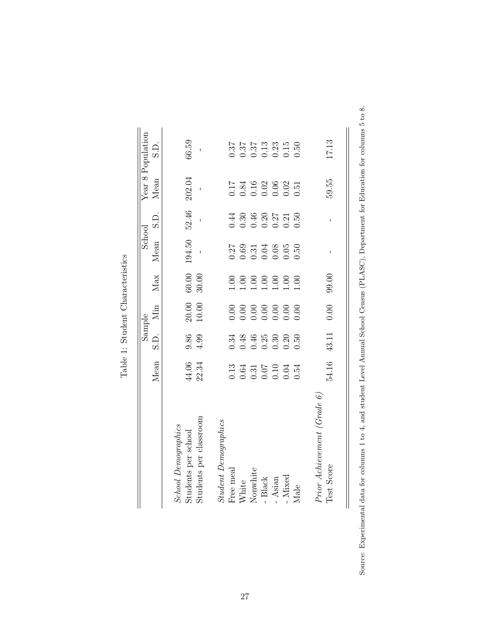<span id="page-32-0"></span>

|                                             |                                                                                                                                                                                                                                                                                                               |                                                                                         | Sample             |                    | School                                                                                                                                                                                                                                                                                                        |                                                                                              |                                                                                                                                                                                                                                                                                                               | Year 8 Population                                                                                  |
|---------------------------------------------|---------------------------------------------------------------------------------------------------------------------------------------------------------------------------------------------------------------------------------------------------------------------------------------------------------------|-----------------------------------------------------------------------------------------|--------------------|--------------------|---------------------------------------------------------------------------------------------------------------------------------------------------------------------------------------------------------------------------------------------------------------------------------------------------------------|----------------------------------------------------------------------------------------------|---------------------------------------------------------------------------------------------------------------------------------------------------------------------------------------------------------------------------------------------------------------------------------------------------------------|----------------------------------------------------------------------------------------------------|
|                                             | Mean                                                                                                                                                                                                                                                                                                          | S.D.                                                                                    | Мin                | Max                | Mean                                                                                                                                                                                                                                                                                                          | $\frac{1}{2}$                                                                                | Mean                                                                                                                                                                                                                                                                                                          | S.D.                                                                                               |
| <b>School Demographics</b>                  |                                                                                                                                                                                                                                                                                                               |                                                                                         |                    |                    |                                                                                                                                                                                                                                                                                                               |                                                                                              |                                                                                                                                                                                                                                                                                                               |                                                                                                    |
| Students per school                         | 44.06<br>22.34                                                                                                                                                                                                                                                                                                | $9.86$<br>4.99                                                                          | $20.00$<br>$10.00$ | $60.00$<br>$30.00$ | 194.50                                                                                                                                                                                                                                                                                                        | 52.46                                                                                        | 202.04                                                                                                                                                                                                                                                                                                        | 66.59                                                                                              |
| Students per classroom                      |                                                                                                                                                                                                                                                                                                               |                                                                                         |                    |                    |                                                                                                                                                                                                                                                                                                               |                                                                                              |                                                                                                                                                                                                                                                                                                               |                                                                                                    |
| Student Demographics                        |                                                                                                                                                                                                                                                                                                               |                                                                                         |                    |                    |                                                                                                                                                                                                                                                                                                               |                                                                                              |                                                                                                                                                                                                                                                                                                               |                                                                                                    |
| Free meal                                   |                                                                                                                                                                                                                                                                                                               |                                                                                         |                    |                    |                                                                                                                                                                                                                                                                                                               |                                                                                              |                                                                                                                                                                                                                                                                                                               |                                                                                                    |
| White                                       |                                                                                                                                                                                                                                                                                                               |                                                                                         |                    |                    |                                                                                                                                                                                                                                                                                                               |                                                                                              |                                                                                                                                                                                                                                                                                                               |                                                                                                    |
| Nonwhite                                    | $\begin{array}{c} 1.13 \\ 0.64 \\ 0.31 \\ 0.07 \\ 0.01 \\ 0.04 \\ 0.04 \\ 0.54 \\ 0.54 \\ 0.54 \\ 0.54 \\ 0.54 \\ 0.54 \\ 0.54 \\ 0.54 \\ 0.54 \\ 0.54 \\ 0.54 \\ 0.54 \\ 0.54 \\ 0.54 \\ 0.54 \\ 0.55 \\ 0.55 \\ 0.56 \\ 0.56 \\ 0.57 \\ 0.57 \\ 0.58 \\ 0.58 \\ 0.59 \\ 0.59 \\ 0.59 \\ 0.59 \\ 0.59 \\ 0.$ | $\begin{array}{c}\n 348 \\  -6000 \\  -6000 \\  -6000 \\  -6000 \\  -600\n \end{array}$ |                    |                    | $\begin{array}{c} 27 \\ 0.69 \\ 0.51 \\ 0.04 \\ 0.05 \\ 0.05 \\ 0.05 \\ 0.50 \\ 0.50 \\ 0.50 \\ 0.50 \\ 0.50 \\ 0.50 \\ 0.50 \\ 0.50 \\ 0.50 \\ 0.50 \\ 0.50 \\ 0.50 \\ 0.50 \\ 0.50 \\ 0.50 \\ 0.50 \\ 0.50 \\ 0.50 \\ 0.50 \\ 0.50 \\ 0.50 \\ 0.50 \\ 0.50 \\ 0.50 \\ 0.50 \\ 0.50 \\ 0.50 \\ 0.50 \\ 0.50$ | $\begin{array}{c} 144 \\ 130 \\ 0.46 \\ 0.20 \\ 0.27 \\ 0.50 \\ 0.50 \\ 0.50 \\ \end{array}$ | $\begin{array}{c} 1.7 \\ 0.84 \\ 0.16 \\ 0.02 \\ 0.03 \\ 0.05 \\ 0.51 \\ 0.51 \\ 0.51 \\ 0.51 \\ 0.51 \\ 0.51 \\ 0.51 \\ 0.51 \\ 0.51 \\ 0.53 \\ 0.53 \\ 0.54 \\ 0.55 \\ 0.57 \\ 0.57 \\ 0.59 \\ 0.59 \\ 0.59 \\ 0.59 \\ 0.59 \\ 0.59 \\ 0.59 \\ 0.59 \\ 0.59 \\ 0.59 \\ 0.59 \\ 0.59 \\ 0.59 \\ 0.59 \\ 0.5$ | $\begin{array}{c} 37 \\ 37 \\ 0.37 \\ 0.03 \\ 0.03 \\ 0.03 \\ 0.05 \\ 0.05 \\ 0.05 \\ \end{array}$ |
| - Black                                     |                                                                                                                                                                                                                                                                                                               |                                                                                         |                    |                    |                                                                                                                                                                                                                                                                                                               |                                                                                              |                                                                                                                                                                                                                                                                                                               |                                                                                                    |
| - Asian                                     |                                                                                                                                                                                                                                                                                                               |                                                                                         |                    |                    |                                                                                                                                                                                                                                                                                                               |                                                                                              |                                                                                                                                                                                                                                                                                                               |                                                                                                    |
| - Mixed                                     |                                                                                                                                                                                                                                                                                                               |                                                                                         |                    |                    |                                                                                                                                                                                                                                                                                                               |                                                                                              |                                                                                                                                                                                                                                                                                                               |                                                                                                    |
| Male                                        |                                                                                                                                                                                                                                                                                                               |                                                                                         |                    |                    |                                                                                                                                                                                                                                                                                                               |                                                                                              |                                                                                                                                                                                                                                                                                                               |                                                                                                    |
| Prior Achievement (Grade $6)$<br>Test Score | 54.16                                                                                                                                                                                                                                                                                                         | 43.11                                                                                   | 0.00               | 99.00              |                                                                                                                                                                                                                                                                                                               |                                                                                              | 59.55                                                                                                                                                                                                                                                                                                         | 17.13                                                                                              |

Table 1: Student Characteristics Table 1: Student Characteristics Source: Experimental data for columns 1 to 4, and student Level Annual School Census (PLASC), Department for Education for columns 5 to 8. Source: Experimental data for columns 1 to 4, and student Level Annual School Census (PLASC), Department for Education for columns 5 to 8.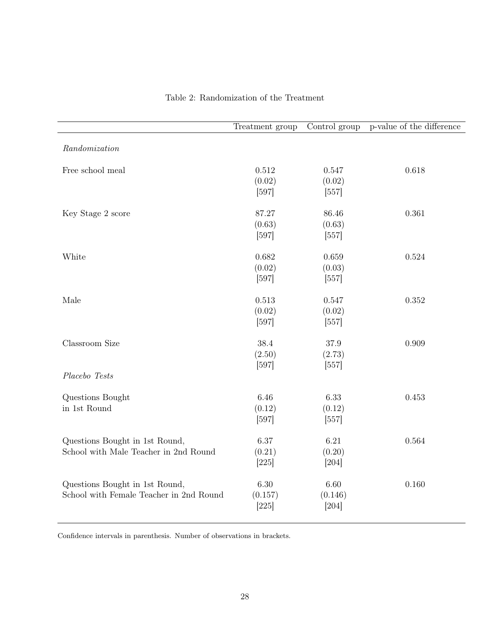<span id="page-33-0"></span>

|                                         | Treatment group    |                    | Control group p-value of the difference |
|-----------------------------------------|--------------------|--------------------|-----------------------------------------|
| Randomization                           |                    |                    |                                         |
| Free school meal                        | 0.512              | 0.547              | 0.618                                   |
|                                         | (0.02)<br>$[597]$  | (0.02)<br>$[557]$  |                                         |
| Key Stage 2 score                       | 87.27              | 86.46              | 0.361                                   |
|                                         | (0.63)             | (0.63)             |                                         |
|                                         | $[597]$            | $[557]$            |                                         |
| White                                   | 0.682<br>(0.02)    | 0.659<br>(0.03)    | 0.524                                   |
|                                         | $[597]$            | $[557]$            |                                         |
| Male                                    | 0.513              | 0.547              | 0.352                                   |
|                                         | (0.02)<br>$[597]$  | (0.02)<br>$[557]$  |                                         |
| Classroom Size                          | 38.4               | 37.9               | 0.909                                   |
|                                         | (2.50)<br>$[597]$  | (2.73)<br>$[557]$  |                                         |
| Placebo Tests                           |                    |                    |                                         |
| Questions Bought<br>in 1st Round        | 6.46               | 6.33               | 0.453                                   |
|                                         | (0.12)<br>$[597]$  | (0.12)<br>$[557]$  |                                         |
| Questions Bought in 1st Round,          | 6.37               | 6.21               | 0.564                                   |
| School with Male Teacher in 2nd Round   | (0.21)<br>$[225]$  | (0.20)<br>$[204]$  |                                         |
| Questions Bought in 1st Round,          | 6.30               | 6.60               | 0.160                                   |
| School with Female Teacher in 2nd Round | (0.157)<br>$[225]$ | (0.146)<br>$[204]$ |                                         |
|                                         |                    |                    |                                         |

# Table 2: Randomization of the Treatment

Confidence intervals in parenthesis. Number of observations in brackets.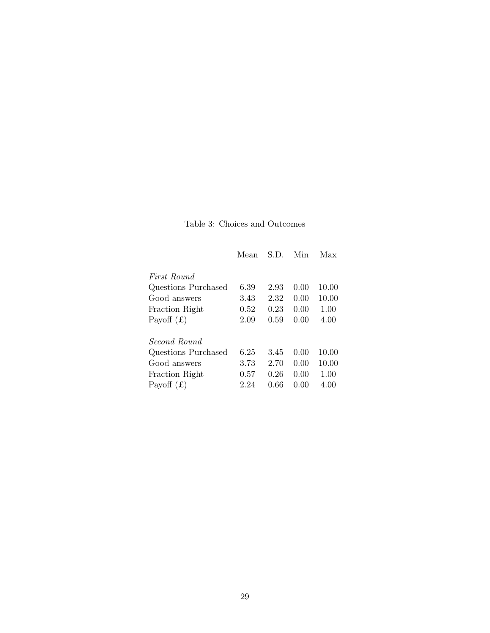<span id="page-34-0"></span>

|                     | Mean | S.D. | Min  | Max   |
|---------------------|------|------|------|-------|
|                     |      |      |      |       |
| First Round         |      |      |      |       |
| Questions Purchased | 6.39 | 2.93 | 0.00 | 10.00 |
| Good answers        | 3.43 | 2.32 | 0.00 | 10.00 |
| Fraction Right      | 0.52 | 0.23 | 0.00 | 1.00  |
| Payoff $(f)$        | 2.09 | 0.59 | 0.00 | 4.00  |
| Second Round        |      |      |      |       |
| Questions Purchased | 6.25 | 3.45 | 0.00 | 10.00 |
| Good answers        | 3.73 | 2.70 | 0.00 | 10.00 |
| Fraction Right      | 0.57 | 0.26 | 0.00 | 1.00  |
| Payoff $(f)$        | 2.24 | 0.66 | 0.00 | 4.00  |
|                     |      |      |      |       |

Table 3: Choices and Outcomes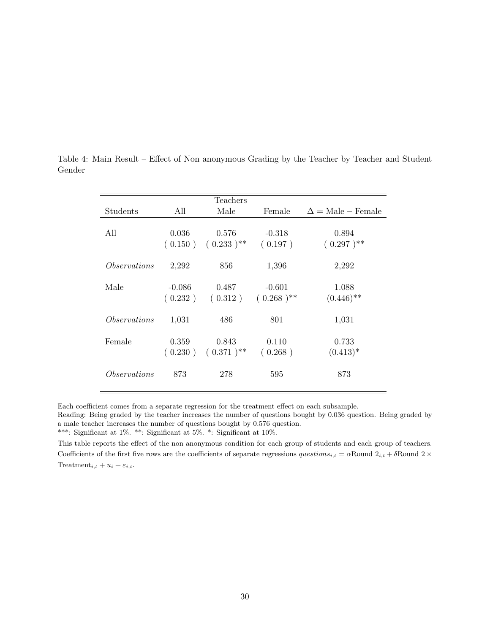|                     |          | Teachers       |                |                                        |
|---------------------|----------|----------------|----------------|----------------------------------------|
| Students            | All      | Male           | Female         | $\Delta = \text{Male} - \text{Female}$ |
| All                 | 0.036    | 0.576          | $-0.318$       | 0.894                                  |
|                     | (0.150)  | $(0.233)^{**}$ | (0.197)        | $(0.297)^{**}$                         |
| <i>Observations</i> | 2,292    | 856            | 1,396          | 2,292                                  |
| Male                | $-0.086$ | 0.487          | $-0.601$       | 1.088                                  |
|                     | (0.232)  | (0.312)        | $(0.268)^{**}$ | $(0.446)$ **                           |
| <i>Observations</i> | 1,031    | 486            | 801            | 1,031                                  |
| Female              | 0.359    | 0.843          | 0.110          | 0.733                                  |
|                     | (0.230)  | $(0.371)^{**}$ | (0.268)        | $(0.413)^*$                            |
| <i>Observations</i> | 873      | 278            | 595            | 873                                    |

<span id="page-35-0"></span>Table 4: Main Result – Effect of Non anonymous Grading by the Teacher by Teacher and Student Gender

Each coefficient comes from a separate regression for the treatment effect on each subsample.

This table reports the effect of the non anonymous condition for each group of students and each group of teachers. Coefficients of the first five rows are the coefficients of separate regressions  $questions_{i,t} = \alpha$ Round  $2_{i,t} + \delta$ Round  $2 \times$ Treatment<sub>i,t</sub> +  $u_i$  +  $\varepsilon_{i,t}$ .

Reading: Being graded by the teacher increases the number of questions bought by 0.036 question. Being graded by a male teacher increases the number of questions bought by 0.576 question.

<sup>\*\*\*:</sup> Significant at 1%. \*\*: Significant at  $5\%$ . \*: Significant at  $10\%$ .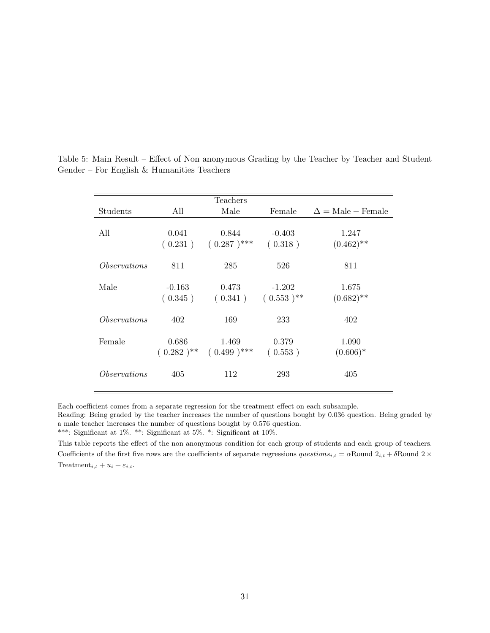|                     |                     | Teachers                                |                            |                                        |
|---------------------|---------------------|-----------------------------------------|----------------------------|----------------------------------------|
| Students            | All                 | Male                                    | Female                     | $\Delta = \text{Male} - \text{Female}$ |
| All                 | 0.041<br>(0.231)    | 0.844<br>$(0.287)^{***}$                | $-0.403$<br>(0.318)        | 1.247<br>$(0.462)$ **                  |
| <i>Observations</i> | 811                 | 285                                     | 526                        | 811                                    |
| Male                | $-0.163$<br>(0.345) | 0.473<br>(0.341)                        | $-1.202$<br>$(0.553)^{**}$ | 1.675<br>$(0.682)$ **                  |
| <i>Observations</i> | 402                 | 169                                     | 233                        | 402                                    |
| Female              | 0.686               | 1.469<br>$(0.282)^{**}$ $(0.499)^{***}$ | 0.379<br>(0.553)           | 1.090<br>$(0.606)*$                    |
| <i>Observations</i> | 405                 | 112                                     | 293                        | 405                                    |

<span id="page-36-0"></span>Table 5: Main Result – Effect of Non anonymous Grading by the Teacher by Teacher and Student Gender – For English & Humanities Teachers

Each coefficient comes from a separate regression for the treatment effect on each subsample.

This table reports the effect of the non anonymous condition for each group of students and each group of teachers. Coefficients of the first five rows are the coefficients of separate regressions  $questions_{i,t} = \alpha$ Round  $2_{i,t} + \delta$ Round  $2 \times$ Treatment<sub>i,t</sub> +  $u_i$  +  $\varepsilon_{i,t}$ .

Reading: Being graded by the teacher increases the number of questions bought by 0.036 question. Being graded by a male teacher increases the number of questions bought by 0.576 question.

<sup>\*\*\*:</sup> Significant at 1%. \*\*: Significant at  $5\%$ . \*: Significant at  $10\%$ .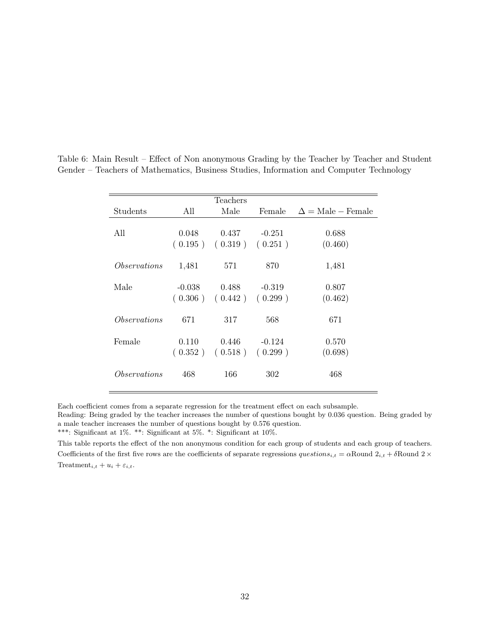|                     |          | Teachers                      |          |                          |
|---------------------|----------|-------------------------------|----------|--------------------------|
| Students            | All      | Male                          | Female   | $\Delta =$ Male – Female |
|                     |          |                               |          |                          |
| All                 | 0.048    | 0.437                         | $-0.251$ | 0.688                    |
|                     |          | $(0.195)$ $(0.319)$ $(0.251)$ |          | (0.460)                  |
|                     |          |                               |          |                          |
| <i>Observations</i> | 1,481    | 571                           | 870      | 1,481                    |
|                     |          |                               |          |                          |
| Male                | $-0.038$ | 0.488                         | $-0.319$ | 0.807                    |
|                     | (0.306)  | (0.442)                       | (0.299)  | (0.462)                  |
|                     |          |                               |          |                          |
| <i>Observations</i> | 671      | 317                           | 568      | 671                      |
|                     |          |                               |          |                          |
| Female              | 0.110    | 0.446                         | $-0.124$ | 0.570                    |
|                     | (0.352)  | (0.518)                       | (0.299)  | (0.698)                  |
|                     |          |                               |          |                          |
| <i>Observations</i> | 468      | 166                           | 302      | 468                      |
|                     |          |                               |          |                          |

<span id="page-37-0"></span>Table 6: Main Result – Effect of Non anonymous Grading by the Teacher by Teacher and Student Gender – Teachers of Mathematics, Business Studies, Information and Computer Technology

Each coefficient comes from a separate regression for the treatment effect on each subsample.

\*\*\*: Significant at 1%. \*\*: Significant at 5%. \*: Significant at 10%.

This table reports the effect of the non anonymous condition for each group of students and each group of teachers. Coefficients of the first five rows are the coefficients of separate regressions  $questions_{i,t} = \alpha$ Round  $2_{i,t} + \delta$ Round  $2 \times$ Treatment<sub>i,t</sub> +  $u_i$  +  $\varepsilon_{i,t}$ .

Reading: Being graded by the teacher increases the number of questions bought by 0.036 question. Being graded by a male teacher increases the number of questions bought by 0.576 question.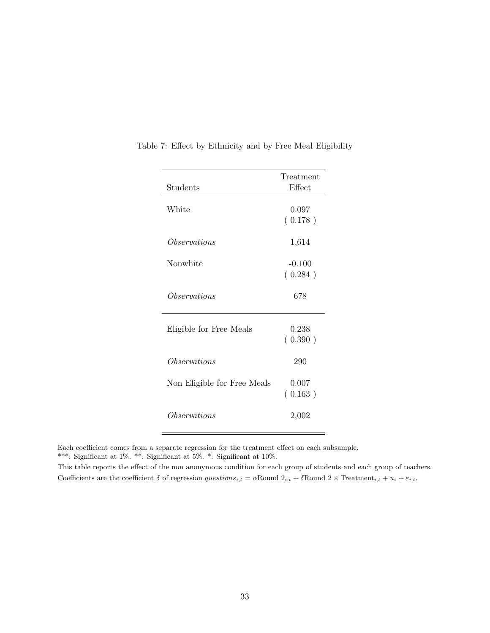|                             | Treatment |
|-----------------------------|-----------|
| Students                    | Effect    |
|                             |           |
| White                       | 0.097     |
|                             | (0.178)   |
|                             |           |
| Observations                | 1,614     |
|                             |           |
| Nonwhite                    | $-0.100$  |
|                             | (0.284)   |
|                             |           |
| Observations                | 678       |
|                             |           |
|                             |           |
| Eligible for Free Meals     | 0.238     |
|                             | (0.390)   |
|                             |           |
| Observations                | 290       |
|                             |           |
| Non Eligible for Free Meals | 0.007     |
|                             | (0.163)   |
| Observations                |           |
|                             | 2,002     |
|                             |           |

<span id="page-38-0"></span>Table 7: Effect by Ethnicity and by Free Meal Eligibility

 $\equiv$ 

This table reports the effect of the non anonymous condition for each group of students and each group of teachers. Coefficients are the coefficient  $\delta$  of regression  $questions_{i,t} = \alpha$ Round  $2_{i,t} + \delta$ Round  $2 \times$ Treatment $_{i,t} + u_i + \varepsilon_{i,t}$ .

Each coefficient comes from a separate regression for the treatment effect on each subsample. \*\*\*: Significant at 1%. \*\*: Significant at 5%. \*: Significant at 10%.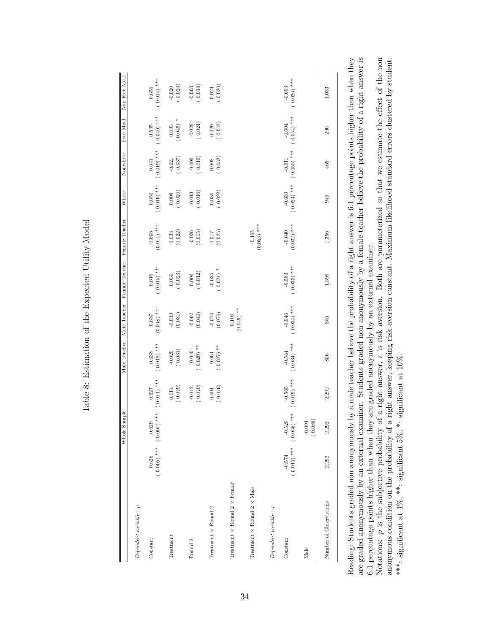<span id="page-39-0"></span>

|                                             |                           | $-\overline{\text{Whole Sample}}$ | I                         | Male Teacher              | Male Teacher              | Female Teacher            | Female Teacher               | White                        | Nonwhite                  | Free Meal                 | Non Free Meal             |
|---------------------------------------------|---------------------------|-----------------------------------|---------------------------|---------------------------|---------------------------|---------------------------|------------------------------|------------------------------|---------------------------|---------------------------|---------------------------|
| $Dependent\ variable: p$                    |                           |                                   |                           |                           |                           |                           |                              |                              |                           |                           |                           |
| Constant                                    | 0.626                     | $(0.006)$ *** $(0.007)$<br>0.629  | $(0.011)$ ***<br>0.627    | $(0.018)$ ***<br>0.638    | $(0.018)$ ***<br>0.637    | $0.616$<br>(0.015) ***    | $(0.014)$ ***<br>$\,0.606\,$ | $(0.016)$ ***<br>$\,0.650\,$ | $0.641$<br>(0.019) ***    | $(0.040)$ ***<br>0.595    | $(0.014)$ ***<br>0.656    |
| Treatment                                   |                           |                                   | (0.019)<br>$\,0.014$      | $-0.020$<br>(0.031)       | $-0.019$<br>(0.031)       | $(0.036)$<br>(0.023)      | (0.022)<br>0.033             | (0.026)<br>$0.008\,$         | (0.021)                   | $*$ (670.0<br>0.093       | (0.020)                   |
| Round 2                                     |                           |                                   | $-0.012$<br>(0.010)       | $(0.020)$ **<br>$-0.040$  | $-0.062$<br>$(0.040)$     | $(0.006$<br>$(0.012)$     | $-0.026$<br>$(0.015)$        | (0.016)                      | (0.019)                   | $-0.029$<br>(0.024)       | (0.014)                   |
| Treatment $\times$ Round 2                  |                           |                                   | (0.016)<br>$0.001\,$      | $(0.027)$ **<br>$\!0.061$ | (0.076)<br>$-0.074$       | $(0.021)$ *<br>$-0.035$   | (0.025)<br>0.017             | (0.022)<br>0.036             | $(0.008$<br>$(0.032)$     | (0.042)<br>0.020          | (0.024)                   |
| Treatment $\times$ Round 2 $\times$ Female  |                           |                                   |                           |                           | $(0.049)$ **<br>0.100     |                           |                              |                              |                           |                           |                           |
| Treatment $\times$ Round $2 \times$ Male    |                           |                                   |                           |                           |                           |                           | $(0.053)$ ***<br>$-0.165$    |                              |                           |                           |                           |
| $\label{eq:perdent} Dependent\ variable: r$ |                           |                                   |                           |                           |                           |                           |                              |                              |                           |                           |                           |
| Constant                                    | $(0.015)$ ***<br>$-0.574$ | $-0.520$<br>(0.056) ***           | $(0.019)$ ***<br>$-0.565$ | $(0.034)$ ***<br>$-0.544$ | $(0.034)$ ***<br>$-0.546$ | $(0.033)$ ***<br>$-0.583$ | $(0.032)$ ***<br>$-0.640$    | $(0.024)$ ***<br>$-0.639$    | $(0.055)$ ***<br>$-0.611$ | $(0.054)$ ***<br>$-0.604$ | $(0.026)$ ***<br>$-0.653$ |
| $_{\rm Male}$                               |                           | $-0.094$<br>(0.088)               |                           |                           |                           |                           |                              |                              |                           |                           |                           |
| Number of Observations                      | 2,292                     | 2,292                             | 2,292                     | 856                       | 856                       | 1,396                     | 1,396                        | 946                          | 469                       | 290                       | 1,083                     |
|                                             |                           |                                   |                           |                           |                           |                           |                              |                              |                           |                           |                           |

Table 8: Estimation of the Expected Utility Model Table 8: Estimation of the Expected Utility Model

are graded anonymously by an external examiner. Students graded non anonymously by a female teacher believe the probability of a right answer is Reading: Students graded non anonymously by a male teacher believe the probability of a right answer is 6.1 percentage points higher than when they are graded anonymously by an external examiner. Students graded non anonymously by a female teacher believe the probability of a right answer is Reading: Students graded non anonymously by a male teacher believe the probability of a right answer is 6.1 percentage points higher than when they 6.1 percentage points higher than when they are graded anonymously by an external examiner. 6.1 percentage points higher than when they are graded anonymously by an external examiner.

Notations: p is the subjective probability of a right answer, r is risk aversion. Both are parameterized so that we estimate the effect of the non anonymous condition on the probability of a right answer, keeping risk aversion constant. Maximum likelihood standard errors clustered by student. Notations: p is the subjective probability of a right answer, r is risk aversion. Both are parameterized so that we estimate the effect of the non anonymous condition on the probability of a right answer, keeping risk aversion constant. Maximum likelihood standard errors clustered by student. \*\*\*: significant at 1%, \*\*: significant 5%, \*: significant at 10%. \*\*\*: significant at 1%, \*\*: significant 5%, \*: significant at 10%.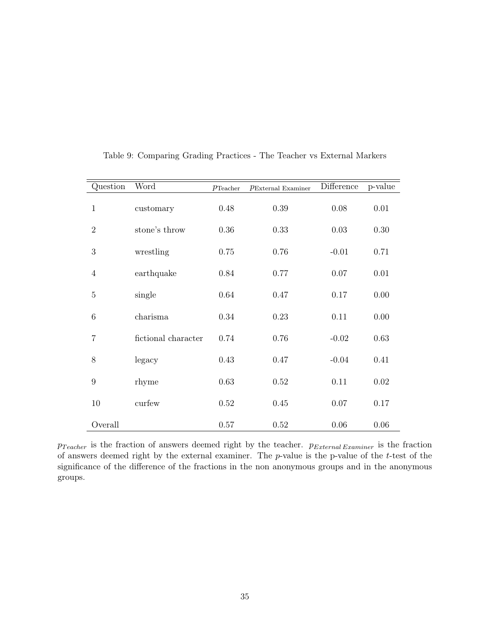<span id="page-40-0"></span>

| Question         | Word                | $p_{\text{Teacher}}$ | $p_{\text{External Examiner}}$ | Difference | p-value  |
|------------------|---------------------|----------------------|--------------------------------|------------|----------|
| $\mathbf{1}$     | customary           | 0.48                 | 0.39                           | 0.08       | 0.01     |
| $\mathbf{2}$     | stone's throw       | 0.36                 | 0.33                           | 0.03       | 0.30     |
| 3                | wrestling           | 0.75                 | 0.76                           | $-0.01$    | 0.71     |
| $\overline{4}$   | earthquake          | 0.84                 | 0.77                           | 0.07       | $0.01\,$ |
| $\overline{5}$   | single              | 0.64                 | 0.47                           | 0.17       | 0.00     |
| $\boldsymbol{6}$ | charisma            | 0.34                 | 0.23                           | 0.11       | 0.00     |
| 7                | fictional character | 0.74                 | 0.76                           | $-0.02$    | 0.63     |
| 8                | legacy              | 0.43                 | 0.47                           | $-0.04$    | 0.41     |
| 9                | rhyme               | 0.63                 | 0.52                           | 0.11       | 0.02     |
| 10               | curfew              | 0.52                 | 0.45                           | 0.07       | 0.17     |
| Overall          |                     | 0.57                 | 0.52                           | 0.06       | 0.06     |

Table 9: Comparing Grading Practices - The Teacher vs External Markers

 $p_{Teacher}$  is the fraction of answers deemed right by the teacher.  $p_{External Examiner}$  is the fraction of answers deemed right by the external examiner. The  $p$ -value is the p-value of the  $t$ -test of the significance of the difference of the fractions in the non anonymous groups and in the anonymous groups.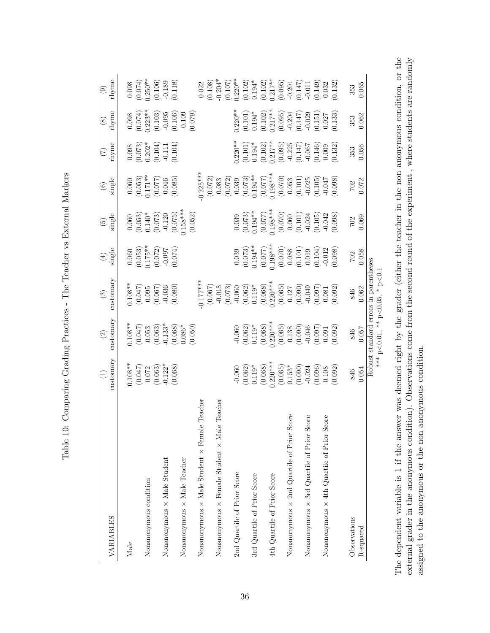<span id="page-41-0"></span>

|                                                               |                                                                                                                                                                                                                                                                                                                     | $\odot$                                                                                                                                                                        | ල                                                                                                                                                                                                                                                                                                     |                                                                                                                                                                                                                                                                              | $\widetilde{\mathfrak{G}}$                                                                                                                                                                                                                                                                                             |                                                                                                                                                                                                                                                                                                                          | E                                                                                                                                                 | $\circledcirc$                                                                                                                    |                                                                                                                                                                                                                                                                                                           |
|---------------------------------------------------------------|---------------------------------------------------------------------------------------------------------------------------------------------------------------------------------------------------------------------------------------------------------------------------------------------------------------------|--------------------------------------------------------------------------------------------------------------------------------------------------------------------------------|-------------------------------------------------------------------------------------------------------------------------------------------------------------------------------------------------------------------------------------------------------------------------------------------------------|------------------------------------------------------------------------------------------------------------------------------------------------------------------------------------------------------------------------------------------------------------------------------|------------------------------------------------------------------------------------------------------------------------------------------------------------------------------------------------------------------------------------------------------------------------------------------------------------------------|--------------------------------------------------------------------------------------------------------------------------------------------------------------------------------------------------------------------------------------------------------------------------------------------------------------------------|---------------------------------------------------------------------------------------------------------------------------------------------------|-----------------------------------------------------------------------------------------------------------------------------------|-----------------------------------------------------------------------------------------------------------------------------------------------------------------------------------------------------------------------------------------------------------------------------------------------------------|
| VARIABLES                                                     | customary                                                                                                                                                                                                                                                                                                           | customary                                                                                                                                                                      | customary                                                                                                                                                                                                                                                                                             | single                                                                                                                                                                                                                                                                       | single                                                                                                                                                                                                                                                                                                                 | $\frac{6}{3}$                                                                                                                                                                                                                                                                                                            | rhyme                                                                                                                                             | rhyme                                                                                                                             | $\frac{1}{2}$<br>Thyme                                                                                                                                                                                                                                                                                    |
| Male                                                          |                                                                                                                                                                                                                                                                                                                     |                                                                                                                                                                                |                                                                                                                                                                                                                                                                                                       |                                                                                                                                                                                                                                                                              |                                                                                                                                                                                                                                                                                                                        |                                                                                                                                                                                                                                                                                                                          |                                                                                                                                                   |                                                                                                                                   |                                                                                                                                                                                                                                                                                                           |
|                                                               |                                                                                                                                                                                                                                                                                                                     |                                                                                                                                                                                |                                                                                                                                                                                                                                                                                                       |                                                                                                                                                                                                                                                                              |                                                                                                                                                                                                                                                                                                                        |                                                                                                                                                                                                                                                                                                                          |                                                                                                                                                   |                                                                                                                                   |                                                                                                                                                                                                                                                                                                           |
| Nonanonymous condition                                        |                                                                                                                                                                                                                                                                                                                     |                                                                                                                                                                                |                                                                                                                                                                                                                                                                                                       |                                                                                                                                                                                                                                                                              |                                                                                                                                                                                                                                                                                                                        |                                                                                                                                                                                                                                                                                                                          |                                                                                                                                                   |                                                                                                                                   |                                                                                                                                                                                                                                                                                                           |
|                                                               |                                                                                                                                                                                                                                                                                                                     |                                                                                                                                                                                |                                                                                                                                                                                                                                                                                                       |                                                                                                                                                                                                                                                                              |                                                                                                                                                                                                                                                                                                                        |                                                                                                                                                                                                                                                                                                                          |                                                                                                                                                   |                                                                                                                                   |                                                                                                                                                                                                                                                                                                           |
| Nonanonymous $\times$ Male Student                            |                                                                                                                                                                                                                                                                                                                     |                                                                                                                                                                                |                                                                                                                                                                                                                                                                                                       |                                                                                                                                                                                                                                                                              |                                                                                                                                                                                                                                                                                                                        |                                                                                                                                                                                                                                                                                                                          |                                                                                                                                                   |                                                                                                                                   |                                                                                                                                                                                                                                                                                                           |
|                                                               | $0.108**$<br>$(0.047)$<br>$0.072$<br>$(0.063)$<br>$-0.122**$<br>$(0.068)$                                                                                                                                                                                                                                           |                                                                                                                                                                                | $(0.086)$<br>$(0.047)$<br>$(0.047)$<br>$(0.047)$<br>$(0.047)$<br>$(0.047)$                                                                                                                                                                                                                            | $\begin{array}{c} 0.060 \\ (0.053) \\ 1.75^{**} \\ (0.072) \\ (0.072) \\ -0.097 \end{array}$                                                                                                                                                                                 |                                                                                                                                                                                                                                                                                                                        | $\begin{array}{c} (0.060 \\ (0.053) \\ (1.71) \\ (0.077) \\ (0.077) \\ (0.046) \\ (0.085) \end{array}$                                                                                                                                                                                                                   | $\begin{array}{c} 0.098 \\ (0.073) \\ 0.202^* \\ (0.104) \\ -0.111 \end{array}$                                                                   |                                                                                                                                   | $\begin{array}{c} 0.098 \\ (0.074) \\ 250^{**} \\ (0.106) \\ (0.106) \\ -0.189 \end{array}$                                                                                                                                                                                                               |
| Nonanonymous × Male Teacher                                   |                                                                                                                                                                                                                                                                                                                     | $\begin{array}{l} 0.108^{*3} \ (0.047) \ 0.053 \ (0.063) \ (0.068) \ (0.068) \ (0.066^{*} \ (0.066) \ 0.086^{*} \end{array}$                                                   |                                                                                                                                                                                                                                                                                                       |                                                                                                                                                                                                                                                                              | $\begin{array}{c} 0.060 \\ (0.053) \\ 0.140^{*} \\ (0.073) \\ (0.073) \\ (0.075) \\ (0.075) \\ (1.88^{***}) \\ (1.68^{***}) \\ (0.052) \end{array}$                                                                                                                                                                    |                                                                                                                                                                                                                                                                                                                          |                                                                                                                                                   | $\begin{array}{c} 0.098 \\ (0.074) \\ 2.23** \\ (0.103) \\ (0.105) \\ (0.106) \\ (0.106) \\ \end{array}$                          |                                                                                                                                                                                                                                                                                                           |
| Teacher<br>Nonanonymous $\times$ Male Student $\times$ Female |                                                                                                                                                                                                                                                                                                                     |                                                                                                                                                                                |                                                                                                                                                                                                                                                                                                       |                                                                                                                                                                                                                                                                              |                                                                                                                                                                                                                                                                                                                        |                                                                                                                                                                                                                                                                                                                          |                                                                                                                                                   |                                                                                                                                   |                                                                                                                                                                                                                                                                                                           |
|                                                               |                                                                                                                                                                                                                                                                                                                     |                                                                                                                                                                                | $\begin{array}{l} 0.177 {*} \\ 0.067) \\ -0.018 \\ -0.018 \\ 0.073) \\ -0.060 \\ 0.062) \\ 0.063) \\ 0.008 \\ 0.000 \\ 0.000 \\ 0.000 \\ 0.001 \\ 0.000 \\ 0.001 \\ 0.001 \\ 0.001 \\ 0.001 \\ 0.001 \\ 0.001 \\ 0.001 \\ 0.001 \\ 0.001 \\ 0.002 \\ 0.003 \\ 0.000 \\ 0.001 \\ 0.001 \\ 0.000 \\ 0.$ |                                                                                                                                                                                                                                                                              |                                                                                                                                                                                                                                                                                                                        | $\begin{array}{l} 0.225^{***} \\ (0.072) \\ (0.072) \\ (0.012) \\ (0.012) \\ (0.072) \\ (0.071) \\ (0.071) \\ (0.071) \\ (0.071) \\ (0.071) \\ (0.011) \\ (0.010) \\ (0.010) \\ (0.010) \\ (0.010) \\ (0.010) \\ (0.010) \\ (0.010) \\ (0.008) \\ (0.008) \\ (0.009) \\ (0.001) \\ (0.001) \\ (0.002) \\ (0.003) \\ (0.$ |                                                                                                                                                   |                                                                                                                                   | $\begin{array}{c} 0.022 \\ 0.108 \\ -0.204^* \\ 0.107 \\ -0.207^* \\ 0.107 \\ -0.107 \\ 0.108 \\ -0.104^* \\ 0.102 \\ -0.104^* \\ 0.009 \\ -0.014 \\ -0.014 \\ -0.032 \\ 0.032 \\ 0.013 \\ 0.014 \\ 0.003 \\ 0.013 \\ 0.013 \\ 0.013 \\ 0.013 \\ 0.013 \\ 0.013 \\ 0.013 \\ 0.013 \\ 0.013 \\ 0.013 \\ 0$ |
| Teacher<br>Nonanonymous $\times$ Female Student $\times$ Male |                                                                                                                                                                                                                                                                                                                     |                                                                                                                                                                                |                                                                                                                                                                                                                                                                                                       |                                                                                                                                                                                                                                                                              |                                                                                                                                                                                                                                                                                                                        |                                                                                                                                                                                                                                                                                                                          |                                                                                                                                                   |                                                                                                                                   |                                                                                                                                                                                                                                                                                                           |
|                                                               |                                                                                                                                                                                                                                                                                                                     |                                                                                                                                                                                |                                                                                                                                                                                                                                                                                                       |                                                                                                                                                                                                                                                                              |                                                                                                                                                                                                                                                                                                                        |                                                                                                                                                                                                                                                                                                                          |                                                                                                                                                   |                                                                                                                                   |                                                                                                                                                                                                                                                                                                           |
| 2nd Quartile of Prior Score                                   |                                                                                                                                                                                                                                                                                                                     |                                                                                                                                                                                |                                                                                                                                                                                                                                                                                                       |                                                                                                                                                                                                                                                                              |                                                                                                                                                                                                                                                                                                                        |                                                                                                                                                                                                                                                                                                                          |                                                                                                                                                   |                                                                                                                                   |                                                                                                                                                                                                                                                                                                           |
|                                                               |                                                                                                                                                                                                                                                                                                                     |                                                                                                                                                                                |                                                                                                                                                                                                                                                                                                       |                                                                                                                                                                                                                                                                              |                                                                                                                                                                                                                                                                                                                        |                                                                                                                                                                                                                                                                                                                          |                                                                                                                                                   |                                                                                                                                   |                                                                                                                                                                                                                                                                                                           |
| 3rd Quartile of Prior Score                                   |                                                                                                                                                                                                                                                                                                                     |                                                                                                                                                                                |                                                                                                                                                                                                                                                                                                       |                                                                                                                                                                                                                                                                              |                                                                                                                                                                                                                                                                                                                        |                                                                                                                                                                                                                                                                                                                          |                                                                                                                                                   |                                                                                                                                   |                                                                                                                                                                                                                                                                                                           |
|                                                               |                                                                                                                                                                                                                                                                                                                     |                                                                                                                                                                                |                                                                                                                                                                                                                                                                                                       |                                                                                                                                                                                                                                                                              |                                                                                                                                                                                                                                                                                                                        |                                                                                                                                                                                                                                                                                                                          |                                                                                                                                                   |                                                                                                                                   |                                                                                                                                                                                                                                                                                                           |
| 4th Quartile of Prior Score                                   |                                                                                                                                                                                                                                                                                                                     |                                                                                                                                                                                |                                                                                                                                                                                                                                                                                                       |                                                                                                                                                                                                                                                                              |                                                                                                                                                                                                                                                                                                                        |                                                                                                                                                                                                                                                                                                                          |                                                                                                                                                   |                                                                                                                                   |                                                                                                                                                                                                                                                                                                           |
|                                                               |                                                                                                                                                                                                                                                                                                                     |                                                                                                                                                                                |                                                                                                                                                                                                                                                                                                       |                                                                                                                                                                                                                                                                              |                                                                                                                                                                                                                                                                                                                        |                                                                                                                                                                                                                                                                                                                          |                                                                                                                                                   | $0.220**$<br>$0.101$<br>$0.194**$<br>$0.194**$<br>$0.194**$<br>$0.195**$<br>$0.055$<br>$0.050*$<br>$0.0204$<br>$0.027$<br>$0.027$ |                                                                                                                                                                                                                                                                                                           |
| ore<br>Nonanonymous $\times$ 2nd Quartile of Prior Sc         |                                                                                                                                                                                                                                                                                                                     |                                                                                                                                                                                |                                                                                                                                                                                                                                                                                                       |                                                                                                                                                                                                                                                                              |                                                                                                                                                                                                                                                                                                                        |                                                                                                                                                                                                                                                                                                                          |                                                                                                                                                   |                                                                                                                                   |                                                                                                                                                                                                                                                                                                           |
|                                                               |                                                                                                                                                                                                                                                                                                                     |                                                                                                                                                                                |                                                                                                                                                                                                                                                                                                       |                                                                                                                                                                                                                                                                              |                                                                                                                                                                                                                                                                                                                        |                                                                                                                                                                                                                                                                                                                          |                                                                                                                                                   |                                                                                                                                   |                                                                                                                                                                                                                                                                                                           |
| Nonanonymous $\times$ 3rd Quartile of Prior Score             |                                                                                                                                                                                                                                                                                                                     |                                                                                                                                                                                |                                                                                                                                                                                                                                                                                                       |                                                                                                                                                                                                                                                                              |                                                                                                                                                                                                                                                                                                                        |                                                                                                                                                                                                                                                                                                                          |                                                                                                                                                   |                                                                                                                                   |                                                                                                                                                                                                                                                                                                           |
|                                                               |                                                                                                                                                                                                                                                                                                                     |                                                                                                                                                                                |                                                                                                                                                                                                                                                                                                       |                                                                                                                                                                                                                                                                              |                                                                                                                                                                                                                                                                                                                        |                                                                                                                                                                                                                                                                                                                          |                                                                                                                                                   |                                                                                                                                   |                                                                                                                                                                                                                                                                                                           |
| Nonanonymous $\times$ 4th Quartile of Prior Score             |                                                                                                                                                                                                                                                                                                                     |                                                                                                                                                                                |                                                                                                                                                                                                                                                                                                       |                                                                                                                                                                                                                                                                              |                                                                                                                                                                                                                                                                                                                        |                                                                                                                                                                                                                                                                                                                          |                                                                                                                                                   |                                                                                                                                   |                                                                                                                                                                                                                                                                                                           |
|                                                               | $\begin{array}{l} -0.060 \\[-4pt] 0.062) \\[-4pt] 0.119^* \\[-4pt] 0.068) \\[-4pt] 0.063) \\[-4pt] 0.065) \\[-4pt] 0.065) \\[-4pt] 0.067 \\[-4pt] 0.074 \\[-4pt] 0.020 \\[-4pt] 0.024 \\[-4pt] 0.024 \\[-4pt] 0.024 \\[-4pt] 0.008 \\[-4pt] 0.008 \\[-4pt] 0.008 \\[-4pt] 0.008 \\[-4pt] 0.008 \\[-4pt] 0.008 \\[-$ | $\begin{array}{l} -0.060 \\ (0.062) \\ (0.113^{*} \\ (0.063) \\ (0.065) \\ (0.065) \\ (0.065) \\ (0.05) \\ (0.030) \\ (0.0138 \\ (0.090) \\ (0.097) \\ (0.092) \\ \end{array}$ |                                                                                                                                                                                                                                                                                                       | $\begin{array}{c} 0.039\\0.077\\0.194**\\0.196**\\0.077\\0.077\\0.007\\0.000\\0.000\\0.000\\0.000\\0.001\\0.010\\0.000\\0.000\\0.000\\0.000\\0.000\\0.000\\0.000\\0.000\\0.000\\0.000\\0.000\\0.000\\0.000\\0.000\\0.000\\0.000\\0.000\\0.000\\0.000\\0.000\\0.000\\0.000\\$ | $\begin{array}{c} (0.030 \\ (0.077) \\ (0.077) \\ (0.077) \\ (0.007) \\ (0.000) \\ (0.000) \\ (0.000) \\ (0.000) \\ (0.001) \\ (0.010) \\ (0.104) \\ (0.105) \\ (0.042) \\ (0.009) \\ (0.001) \\ (0.002) \\ (0.003) \\ (0.008) \\ (0.009) \\ (0.001) \\ (0.001) \\ (0.002) \\ (0.003) \\ (0.003) \\ (0.003) \\ (0.003$ |                                                                                                                                                                                                                                                                                                                          | $0.220**$<br>$0.101$<br>$0.194*$<br>$0.194*$<br>$0.194*$<br>$0.195$<br>$0.055$<br>$0.057*$<br>$0.057$<br>$0.057$<br>$0.057$<br>$0.067$<br>$0.009$ |                                                                                                                                   |                                                                                                                                                                                                                                                                                                           |
| Observations                                                  | 846                                                                                                                                                                                                                                                                                                                 | 846                                                                                                                                                                            | 846                                                                                                                                                                                                                                                                                                   | 702                                                                                                                                                                                                                                                                          | 702                                                                                                                                                                                                                                                                                                                    | 702                                                                                                                                                                                                                                                                                                                      | 353                                                                                                                                               | 353                                                                                                                               | 353                                                                                                                                                                                                                                                                                                       |
| R-squared                                                     | 0.054                                                                                                                                                                                                                                                                                                               | 0.05                                                                                                                                                                           | 0.062                                                                                                                                                                                                                                                                                                 | 0.058                                                                                                                                                                                                                                                                        | 0.069                                                                                                                                                                                                                                                                                                                  | 0.072                                                                                                                                                                                                                                                                                                                    | 0.056                                                                                                                                             | 0.062                                                                                                                             | 0.065                                                                                                                                                                                                                                                                                                     |
|                                                               |                                                                                                                                                                                                                                                                                                                     |                                                                                                                                                                                | Robust standard errors in parentheses                                                                                                                                                                                                                                                                 |                                                                                                                                                                                                                                                                              |                                                                                                                                                                                                                                                                                                                        |                                                                                                                                                                                                                                                                                                                          |                                                                                                                                                   |                                                                                                                                   |                                                                                                                                                                                                                                                                                                           |

Table 10: Comparing Grading Practices - The Teacher vs External Markers Table 10: Comparing Grading Practices - The Teacher vs External Markers

\*\*\* p  $< 0.01,$  \*\* p<  $<$  0.05,  $*$  p $<$  $\frac{1}{\sqrt{2}}$  The dependent variable is 1 if the answer was deemed right by the grader (either the teacher in the non anonymous condition, or the external grader in the anonymous condition). Observations come from the second round of the experiment, where students are randomly The dependent variable is 1 if the answer was deemed right by the grader (either the teacher in the non anonymous condition, or the external grader in the anonymous condition). Observations come from the second round of the experiment , where students are randomly assigned to the anonymous or the non anonymous condition. assigned to the anonymous or the non anonymous condition.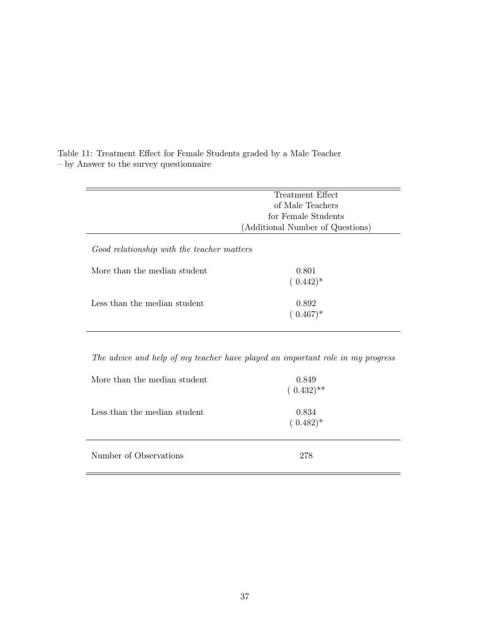|                                            | Treatment Effect                 |  |  |
|--------------------------------------------|----------------------------------|--|--|
|                                            | of Male Teachers                 |  |  |
|                                            | for Female Students              |  |  |
|                                            | (Additional Number of Questions) |  |  |
| Good relationship with the teacher matters |                                  |  |  |
| More than the median student               | 0.801                            |  |  |
|                                            | $(0.442)^*$                      |  |  |
| Less than the median student               | 0.892                            |  |  |
|                                            | $(0.467)^*$                      |  |  |

<span id="page-42-0"></span>Table 11: Treatment Effect for Female Students graded by a Male Teacher – by Answer to the survey questionnaire

The advice and help of my teacher have played an important role in my progress

| More than the median student | 0.849<br>$(0.432)$ ** |
|------------------------------|-----------------------|
| Less than the median student | 0.834<br>$(0.482)^*$  |
| Number of Observations       | 278                   |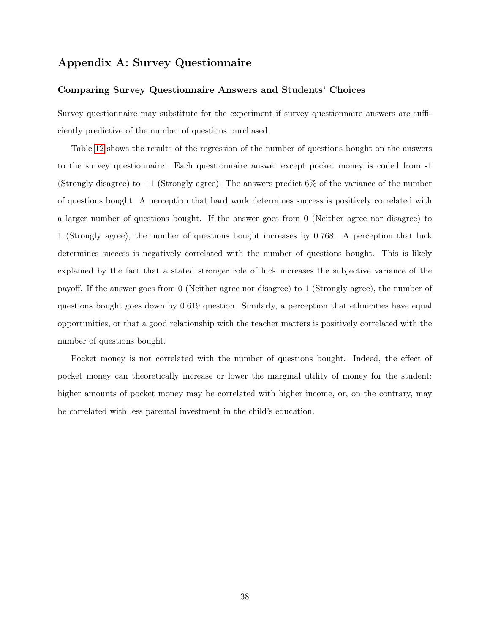# Appendix A: Survey Questionnaire

#### <span id="page-43-0"></span>Comparing Survey Questionnaire Answers and Students' Choices

Survey questionnaire may substitute for the experiment if survey questionnaire answers are sufficiently predictive of the number of questions purchased.

Table [12](#page-44-0) shows the results of the regression of the number of questions bought on the answers to the survey questionnaire. Each questionnaire answer except pocket money is coded from -1 (Strongly disagree) to  $+1$  (Strongly agree). The answers predict 6% of the variance of the number of questions bought. A perception that hard work determines success is positively correlated with a larger number of questions bought. If the answer goes from 0 (Neither agree nor disagree) to 1 (Strongly agree), the number of questions bought increases by 0.768. A perception that luck determines success is negatively correlated with the number of questions bought. This is likely explained by the fact that a stated stronger role of luck increases the subjective variance of the payoff. If the answer goes from 0 (Neither agree nor disagree) to 1 (Strongly agree), the number of questions bought goes down by 0.619 question. Similarly, a perception that ethnicities have equal opportunities, or that a good relationship with the teacher matters is positively correlated with the number of questions bought.

Pocket money is not correlated with the number of questions bought. Indeed, the effect of pocket money can theoretically increase or lower the marginal utility of money for the student: higher amounts of pocket money may be correlated with higher income, or, on the contrary, may be correlated with less parental investment in the child's education.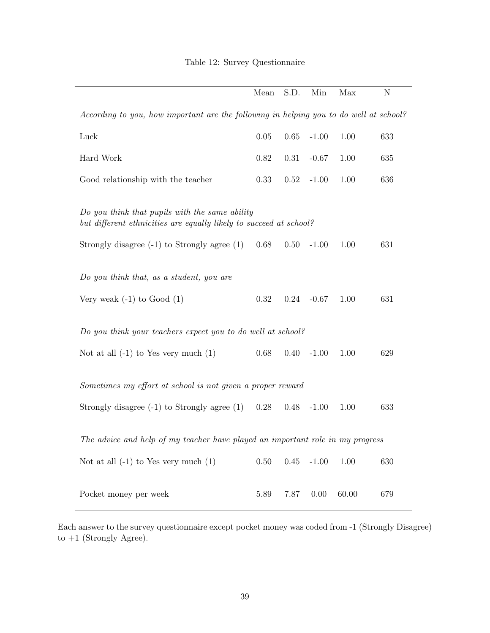<span id="page-44-0"></span>

|                                                                                        | Mean     | S.D. | Min     | Max   | N   |  |
|----------------------------------------------------------------------------------------|----------|------|---------|-------|-----|--|
|                                                                                        |          |      |         |       |     |  |
| According to you, how important are the following in helping you to do well at school? |          |      |         |       |     |  |
|                                                                                        |          |      |         |       |     |  |
| Luck                                                                                   | $0.05\,$ | 0.65 | $-1.00$ | 1.00  | 633 |  |
| Hard Work                                                                              | 0.82     | 0.31 | $-0.67$ | 1.00  | 635 |  |
| Good relationship with the teacher                                                     | 0.33     | 0.52 | $-1.00$ | 1.00  | 636 |  |
|                                                                                        |          |      |         |       |     |  |
| Do you think that pupils with the same ability                                         |          |      |         |       |     |  |
| but different ethnicities are equally likely to succeed at school?                     |          |      |         |       |     |  |
|                                                                                        |          |      |         |       |     |  |
| Strongly disagree $(-1)$ to Strongly agree $(1)$                                       | 0.68     | 0.50 | $-1.00$ | 1.00  | 631 |  |
|                                                                                        |          |      |         |       |     |  |
| Do you think that, as a student, you are                                               |          |      |         |       |     |  |
|                                                                                        |          |      |         |       |     |  |
| Very weak $(-1)$ to Good $(1)$                                                         | 0.32     | 0.24 | $-0.67$ | 1.00  | 631 |  |
|                                                                                        |          |      |         |       |     |  |
| Do you think your teachers expect you to do well at school?                            |          |      |         |       |     |  |
|                                                                                        |          |      |         |       |     |  |
| Not at all $(-1)$ to Yes very much $(1)$                                               | 0.68     | 0.40 | $-1.00$ | 1.00  | 629 |  |
|                                                                                        |          |      |         |       |     |  |
| Sometimes my effort at school is not given a proper reward                             |          |      |         |       |     |  |
| Strongly disagree $(-1)$ to Strongly agree $(1)$                                       | 0.28     | 0.48 | $-1.00$ | 1.00  | 633 |  |
|                                                                                        |          |      |         |       |     |  |
|                                                                                        |          |      |         |       |     |  |
| The advice and help of my teacher have played an important role in my progress         |          |      |         |       |     |  |
| Not at all $(-1)$ to Yes very much $(1)$                                               | $0.50\,$ | 0.45 | $-1.00$ | 1.00  | 630 |  |
|                                                                                        |          |      |         |       |     |  |
|                                                                                        |          |      |         |       |     |  |
| Pocket money per week                                                                  | 5.89     | 7.87 | 0.00    | 60.00 | 679 |  |

# Table 12: Survey Questionnaire

Each answer to the survey questionnaire except pocket money was coded from -1 (Strongly Disagree) to  $+1$  (Strongly Agree).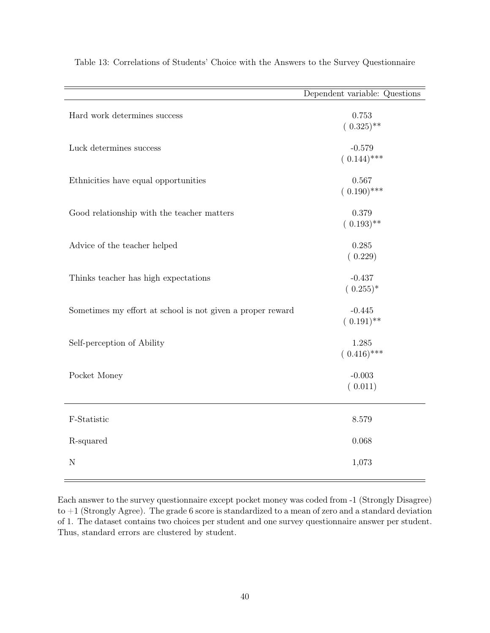|                                                            | Dependent variable: Questions |
|------------------------------------------------------------|-------------------------------|
| Hard work determines success                               | $0.753\,$<br>$(0.325)$ **     |
| Luck determines success                                    | $-0.579$<br>$(0.144)$ ***     |
| Ethnicities have equal opportunities                       | 0.567<br>$(0.190)$ ***        |
| Good relationship with the teacher matters                 | 0.379<br>$(0.193)$ **         |
| Advice of the teacher helped                               | 0.285<br>(0.229)              |
| Thinks teacher has high expectations                       | $-0.437$<br>$(0.255)^*$       |
| Sometimes my effort at school is not given a proper reward | $-0.445$<br>$(0.191)$ **      |
| Self-perception of Ability                                 | 1.285<br>$(0.416)$ ***        |
| Pocket Money                                               | $-0.003$<br>(0.011)           |
| F-Statistic                                                | 8.579                         |
| R-squared                                                  | 0.068                         |
| N                                                          | 1,073                         |

Table 13: Correlations of Students' Choice with the Answers to the Survey Questionnaire

Each answer to the survey questionnaire except pocket money was coded from -1 (Strongly Disagree) to +1 (Strongly Agree). The grade 6 score is standardized to a mean of zero and a standard deviation of 1. The dataset contains two choices per student and one survey questionnaire answer per student. Thus, standard errors are clustered by student.

 $=$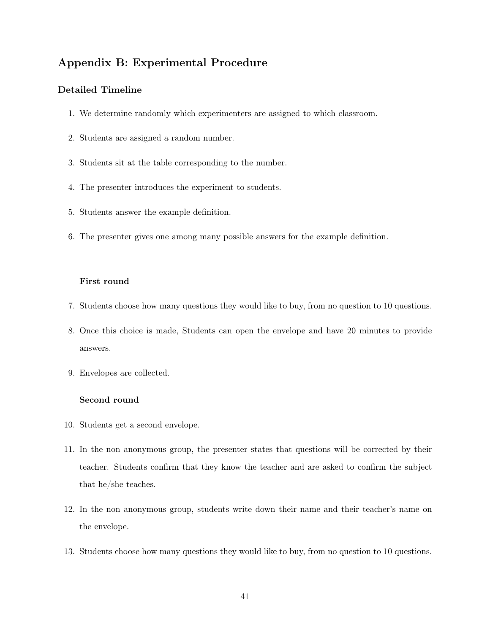# Appendix B: Experimental Procedure

## Detailed Timeline

- 1. We determine randomly which experimenters are assigned to which classroom.
- 2. Students are assigned a random number.
- 3. Students sit at the table corresponding to the number.
- 4. The presenter introduces the experiment to students.
- 5. Students answer the example definition.
- 6. The presenter gives one among many possible answers for the example definition.

#### First round

- 7. Students choose how many questions they would like to buy, from no question to 10 questions.
- 8. Once this choice is made, Students can open the envelope and have 20 minutes to provide answers.
- 9. Envelopes are collected.

#### Second round

- 10. Students get a second envelope.
- 11. In the non anonymous group, the presenter states that questions will be corrected by their teacher. Students confirm that they know the teacher and are asked to confirm the subject that he/she teaches.
- 12. In the non anonymous group, students write down their name and their teacher's name on the envelope.
- 13. Students choose how many questions they would like to buy, from no question to 10 questions.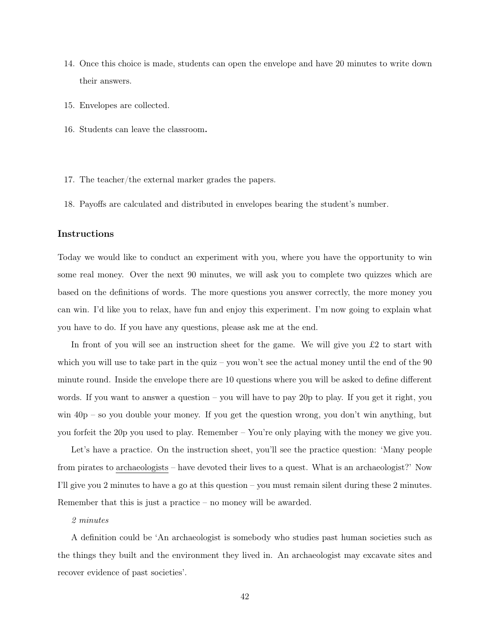- 14. Once this choice is made, students can open the envelope and have 20 minutes to write down their answers.
- 15. Envelopes are collected.
- 16. Students can leave the classroom.
- 17. The teacher/the external marker grades the papers.
- 18. Payoffs are calculated and distributed in envelopes bearing the student's number.

#### Instructions

Today we would like to conduct an experiment with you, where you have the opportunity to win some real money. Over the next 90 minutes, we will ask you to complete two quizzes which are based on the definitions of words. The more questions you answer correctly, the more money you can win. I'd like you to relax, have fun and enjoy this experiment. I'm now going to explain what you have to do. If you have any questions, please ask me at the end.

In front of you will see an instruction sheet for the game. We will give you  $\pounds 2$  to start with which you will use to take part in the quiz – you won't see the actual money until the end of the 90 minute round. Inside the envelope there are 10 questions where you will be asked to define different words. If you want to answer a question – you will have to pay 20p to play. If you get it right, you win  $40p - so$  you double your money. If you get the question wrong, you don't win anything, but you forfeit the 20p you used to play. Remember – You're only playing with the money we give you.

Let's have a practice. On the instruction sheet, you'll see the practice question: 'Many people from pirates to archaeologists – have devoted their lives to a quest. What is an archaeologist?' Now I'll give you 2 minutes to have a go at this question – you must remain silent during these 2 minutes. Remember that this is just a practice – no money will be awarded.

#### 2 minutes

A definition could be 'An archaeologist is somebody who studies past human societies such as the things they built and the environment they lived in. An archaeologist may excavate sites and recover evidence of past societies'.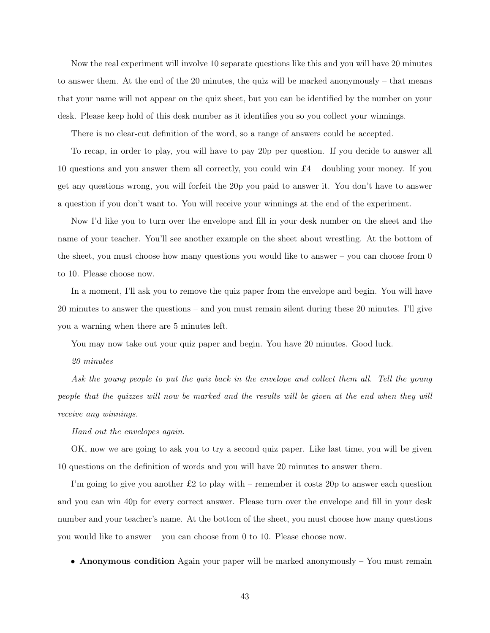Now the real experiment will involve 10 separate questions like this and you will have 20 minutes to answer them. At the end of the 20 minutes, the quiz will be marked anonymously – that means that your name will not appear on the quiz sheet, but you can be identified by the number on your desk. Please keep hold of this desk number as it identifies you so you collect your winnings.

There is no clear-cut definition of the word, so a range of answers could be accepted.

To recap, in order to play, you will have to pay 20p per question. If you decide to answer all 10 questions and you answer them all correctly, you could win  $\pounds 4$  – doubling your money. If you get any questions wrong, you will forfeit the 20p you paid to answer it. You don't have to answer a question if you don't want to. You will receive your winnings at the end of the experiment.

Now I'd like you to turn over the envelope and fill in your desk number on the sheet and the name of your teacher. You'll see another example on the sheet about wrestling. At the bottom of the sheet, you must choose how many questions you would like to answer – you can choose from 0 to 10. Please choose now.

In a moment, I'll ask you to remove the quiz paper from the envelope and begin. You will have 20 minutes to answer the questions – and you must remain silent during these 20 minutes. I'll give you a warning when there are 5 minutes left.

You may now take out your quiz paper and begin. You have 20 minutes. Good luck.

20 minutes

Ask the young people to put the quiz back in the envelope and collect them all. Tell the young people that the quizzes will now be marked and the results will be given at the end when they will receive any winnings.

Hand out the envelopes again.

OK, now we are going to ask you to try a second quiz paper. Like last time, you will be given 10 questions on the definition of words and you will have 20 minutes to answer them.

I'm going to give you another  $\pounds 2$  to play with – remember it costs 20p to answer each question and you can win 40p for every correct answer. Please turn over the envelope and fill in your desk number and your teacher's name. At the bottom of the sheet, you must choose how many questions you would like to answer – you can choose from 0 to 10. Please choose now.

• Anonymous condition Again your paper will be marked anonymously – You must remain